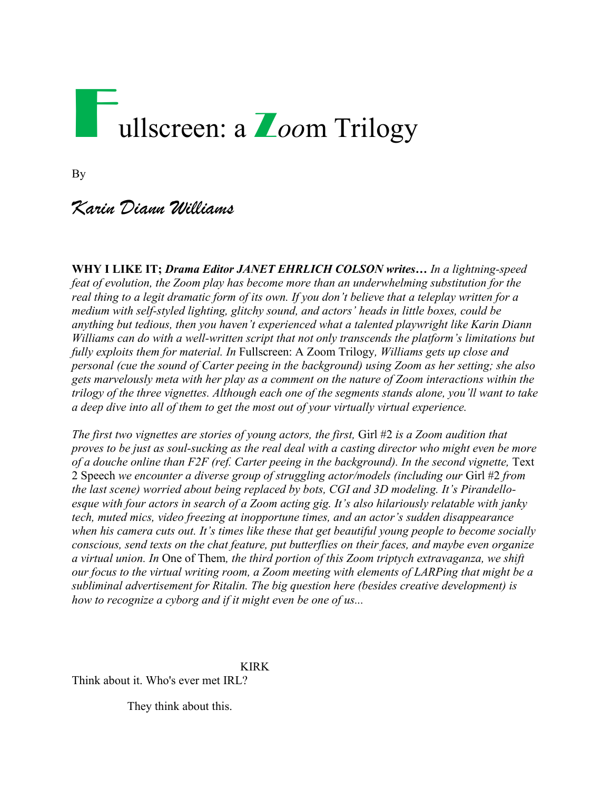# Fullscreen: a Z*oo*m Trilogy

By

# *Karin Diann Williams*

**WHY I LIKE IT;** *Drama Editor JANET EHRLICH COLSON writes… In a lightning-speed feat of evolution, the Zoom play has become more than an underwhelming substitution for the real thing to a legit dramatic form of its own. If you don't believe that a teleplay written for a medium with self-styled lighting, glitchy sound, and actors' heads in little boxes, could be anything but tedious, then you haven't experienced what a talented playwright like Karin Diann Williams can do with a well-written script that not only transcends the platform's limitations but fully exploits them for material. In* Fullscreen: A Zoom Trilogy*, Williams gets up close and personal (cue the sound of Carter peeing in the background) using Zoom as her setting; she also gets marvelously meta with her play as a comment on the nature of Zoom interactions within the trilogy of the three vignettes. Although each one of the segments stands alone, you'll want to take a deep dive into all of them to get the most out of your virtually virtual experience.* 

*The first two vignettes are stories of young actors, the first,* Girl #2 *is a Zoom audition that proves to be just as soul-sucking as the real deal with a casting director who might even be more*  of a douche online than F2F (ref. Carter peeing in the background). In the second vignette, Text 2 Speech *we encounter a diverse group of struggling actor/models (including our* Girl #2 *from the last scene) worried about being replaced by bots, CGI and 3D modeling. It's Pirandelloesque with four actors in search of a Zoom acting gig. It's also hilariously relatable with janky tech, muted mics, video freezing at inopportune times, and an actor's sudden disappearance when his camera cuts out. It's times like these that get beautiful young people to become socially conscious, send texts on the chat feature, put butterflies on their faces, and maybe even organize a virtual union. In* One of Them*, the third portion of this Zoom triptych extravaganza, we shift our focus to the virtual writing room, a Zoom meeting with elements of LARPing that might be a subliminal advertisement for Ritalin. The big question here (besides creative development) is how to recognize a cyborg and if it might even be one of us...*

KIRK Think about it. Who's ever met IRL?

They think about this.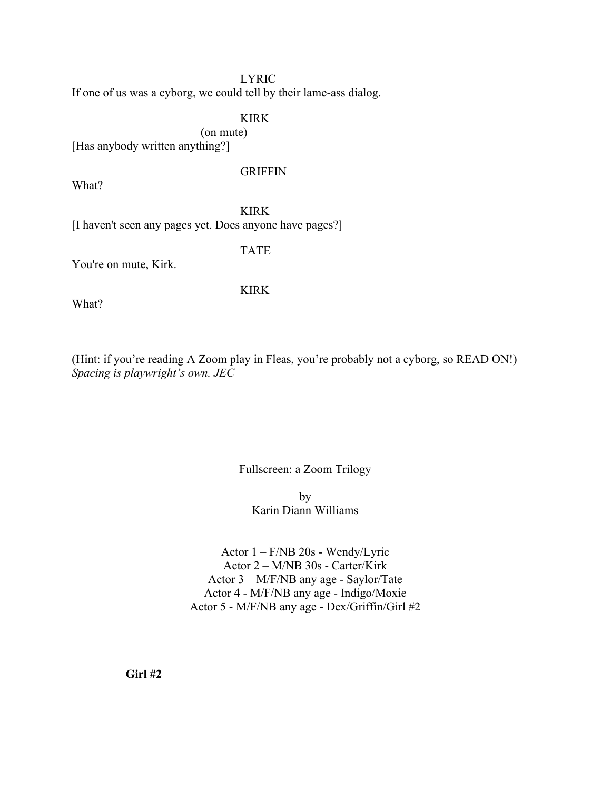#### LYRIC

If one of us was a cyborg, we could tell by their lame-ass dialog.

#### KIRK

(on mute)

[Has anybody written anything?]

#### **GRIFFIN**

What?

KIRK

[I haven't seen any pages yet. Does anyone have pages?]

TATE

KIRK

You're on mute, Kirk.

What?

(Hint: if you're reading A Zoom play in Fleas, you're probably not a cyborg, so READ ON!) *Spacing is playwright's own. JEC*

#### Fullscreen: a Zoom Trilogy

by Karin Diann Williams

Actor 1 – F/NB 20s - Wendy/Lyric Actor 2 – M/NB 30s - Carter/Kirk Actor 3 – M/F/NB any age - Saylor/Tate Actor 4 - M/F/NB any age - Indigo/Moxie Actor 5 - M/F/NB any age - Dex/Griffin/Girl #2

**Girl #2**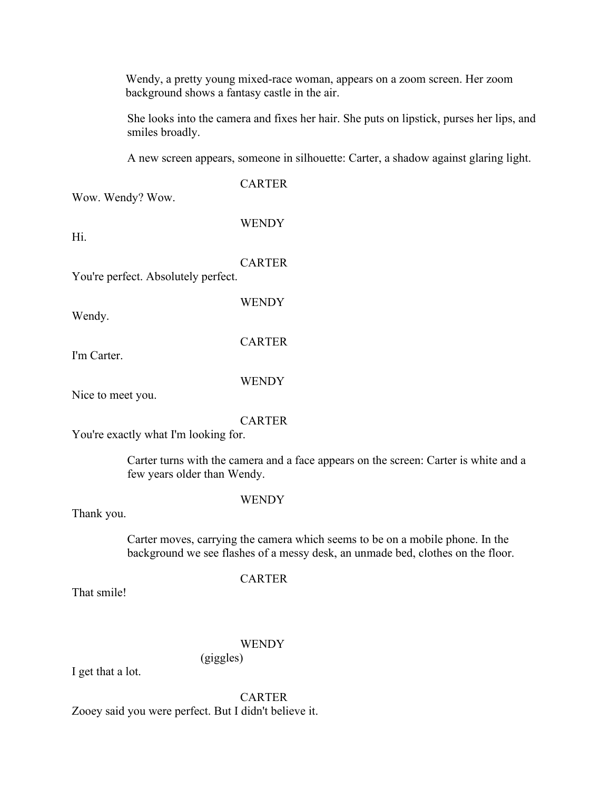Wendy, a pretty young mixed-race woman, appears on a zoom screen. Her zoom background shows a fantasy castle in the air.

She looks into the camera and fixes her hair. She puts on lipstick, purses her lips, and smiles broadly.

A new screen appears, someone in silhouette: Carter, a shadow against glaring light.

Wow. Wendy? Wow.

WENDY

**CARTER** 

Hi.

CARTER

**WENDY** 

**CARTER** 

You're perfect. Absolutely perfect.

Wendy.

I'm Carter.

**WENDY** 

Nice to meet you.

#### CARTER

You're exactly what I'm looking for.

Carter turns with the camera and a face appears on the screen: Carter is white and a few years older than Wendy.

#### **WENDY**

Thank you.

Carter moves, carrying the camera which seems to be on a mobile phone. In the background we see flashes of a messy desk, an unmade bed, clothes on the floor.

CARTER

That smile!

#### **WENDY**

(giggles)

I get that a lot.

**CARTER** Zooey said you were perfect. But I didn't believe it.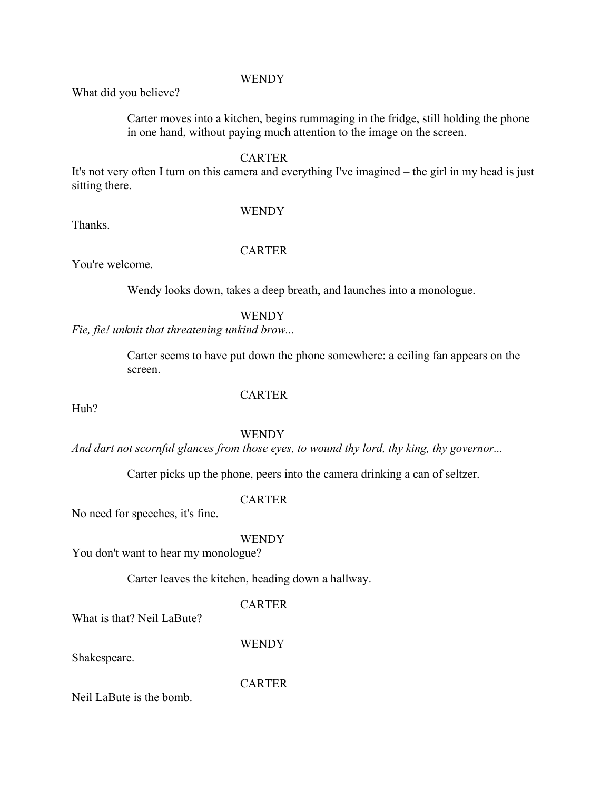#### **WENDY**

What did you believe?

Carter moves into a kitchen, begins rummaging in the fridge, still holding the phone in one hand, without paying much attention to the image on the screen.

#### CARTER

It's not very often I turn on this camera and everything I've imagined – the girl in my head is just sitting there.

Thanks.

## WENDY

You're welcome.

# **CARTER**

Wendy looks down, takes a deep breath, and launches into a monologue.

#### **WENDY**

*Fie, fie! unknit that threatening unkind brow...*

Carter seems to have put down the phone somewhere: a ceiling fan appears on the screen.

Huh?

#### **CARTER**

**WENDY** 

*And dart not scornful glances from those eyes, to wound thy lord, thy king, thy governor...*

Carter picks up the phone, peers into the camera drinking a can of seltzer.

#### **CARTER**

No need for speeches, it's fine.

#### **WENDY**

You don't want to hear my monologue?

Carter leaves the kitchen, heading down a hallway.

#### **CARTER**

What is that? Neil LaBute?

**WENDY** 

Shakespeare.

**CARTER** 

Neil LaBute is the bomb.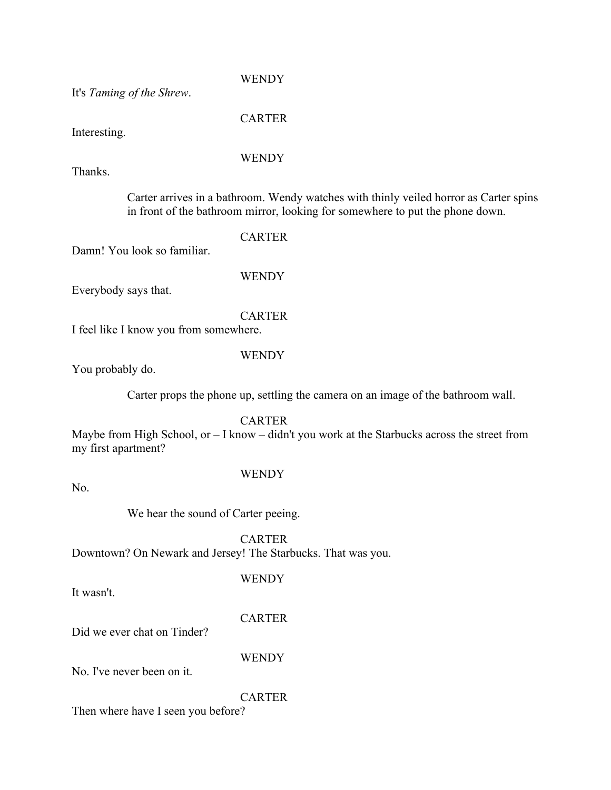It's *Taming of the Shrew*.

**CARTER** 

**WENDY** 

Interesting.

#### WENDY

Thanks.

Carter arrives in a bathroom. Wendy watches with thinly veiled horror as Carter spins in front of the bathroom mirror, looking for somewhere to put the phone down.

CARTER

Damn! You look so familiar.

**WENDY** 

Everybody says that.

**CARTER** I feel like I know you from somewhere.

#### WENDY

You probably do.

Carter props the phone up, settling the camera on an image of the bathroom wall.

**CARTER** 

Maybe from High School, or – I know – didn't you work at the Starbucks across the street from my first apartment?

No.

#### **WENDY**

We hear the sound of Carter peeing.

CARTER

Downtown? On Newark and Jersey! The Starbucks. That was you.

It wasn't.

#### CARTER

**WENDY** 

Did we ever chat on Tinder?

**WENDY** 

No. I've never been on it.

**CARTER** 

Then where have I seen you before?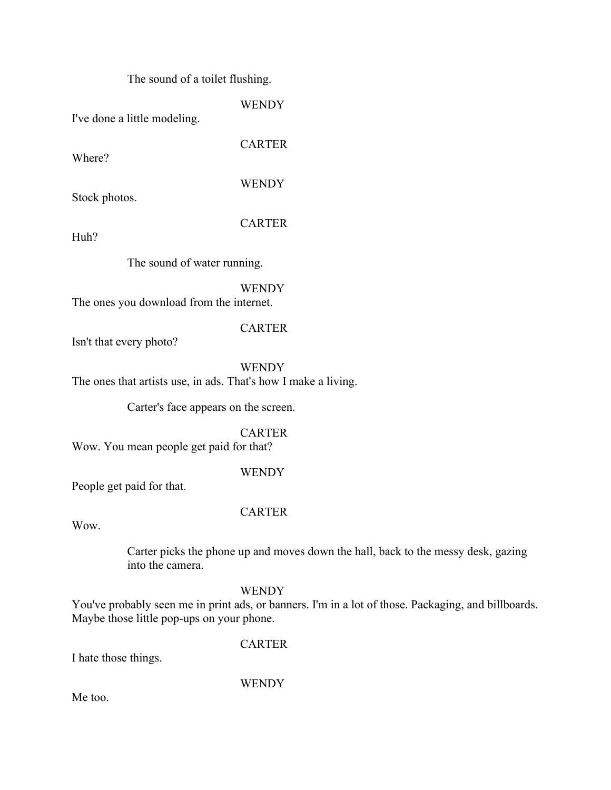The sound of a toilet flushing.

**WENDY** 

I've done a little modeling.

**CARTER** 

Where?

**WENDY** 

Stock photos.

CARTER

Huh?

The sound of water running.

WENDY

The ones you download from the internet.

#### CARTER

Isn't that every photo?

WENDY The ones that artists use, in ads. That's how I make a living.

Carter's face appears on the screen.

#### CARTER

Wow. You mean people get paid for that?

#### WENDY

People get paid for that.

#### CARTER

Wow.

Carter picks the phone up and moves down the hall, back to the messy desk, gazing into the camera.

#### **WENDY**

You've probably seen me in print ads, or banners. I'm in a lot of those. Packaging, and billboards. Maybe those little pop-ups on your phone.

CARTER

I hate those things.

**WENDY** 

Me too.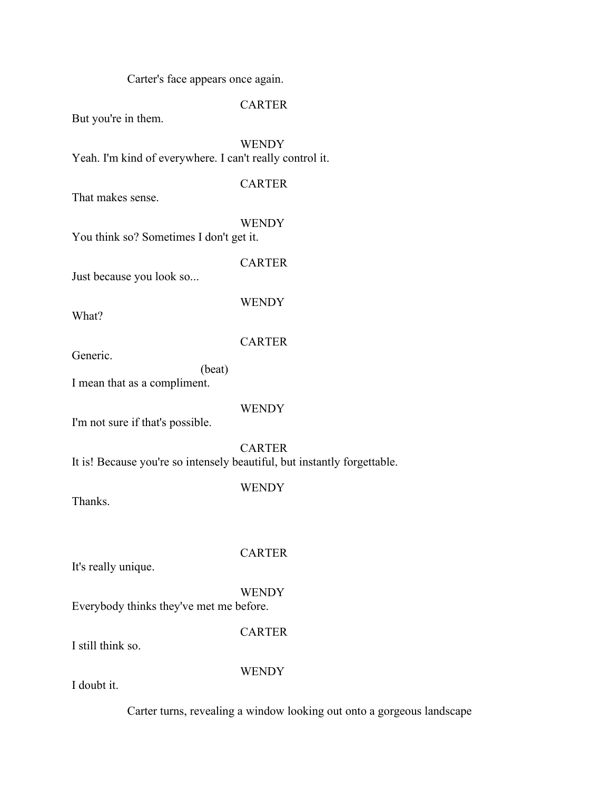Carter's face appears once again.

#### CARTER

But you're in them.

**WENDY** Yeah. I'm kind of everywhere. I can't really control it.

**CARTER** 

That makes sense.

WENDY

CARTER

**WENDY** 

You think so? Sometimes I don't get it.

Just because you look so...

What?

**CARTER** 

Generic.

(beat)

I mean that as a compliment.

WENDY

I'm not sure if that's possible.

CARTER It is! Because you're so intensely beautiful, but instantly forgettable.

**WENDY** 

Thanks.

CARTER

It's really unique.

**WENDY** 

Everybody thinks they've met me before.

**CARTER** 

I still think so.

**WENDY** 

I doubt it.

Carter turns, revealing a window looking out onto a gorgeous landscape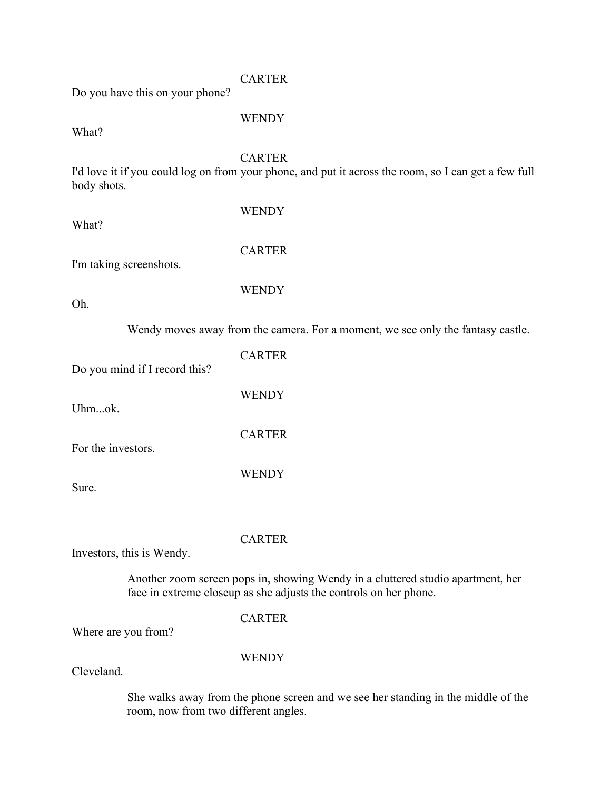#### CARTER

Do you have this on your phone?

WENDY

What?

#### CARTER

I'd love it if you could log on from your phone, and put it across the room, so I can get a few full body shots.

we see only the fantasy castle.

| What?                         | WENDY                                           |
|-------------------------------|-------------------------------------------------|
| I'm taking screenshots.       | <b>CARTER</b>                                   |
| Oh.                           | <b>WENDY</b>                                    |
|                               | Wendy moves away from the camera. For a moment, |
| Do you mind if I record this? | <b>CARTER</b>                                   |
| Uhmok.                        | <b>WENDY</b>                                    |
| For the investors.            | <b>CARTER</b>                                   |
| Sure.                         | <b>WENDY</b>                                    |
|                               |                                                 |
|                               | <b>CARTER</b>                                   |

Investors, this is Wendy.

Another zoom screen pops in, showing Wendy in a cluttered studio apartment, her face in extreme closeup as she adjusts the controls on her phone.

#### CARTER

Where are you from?

#### WENDY

Cleveland.

She walks away from the phone screen and we see her standing in the middle of the room, now from two different angles.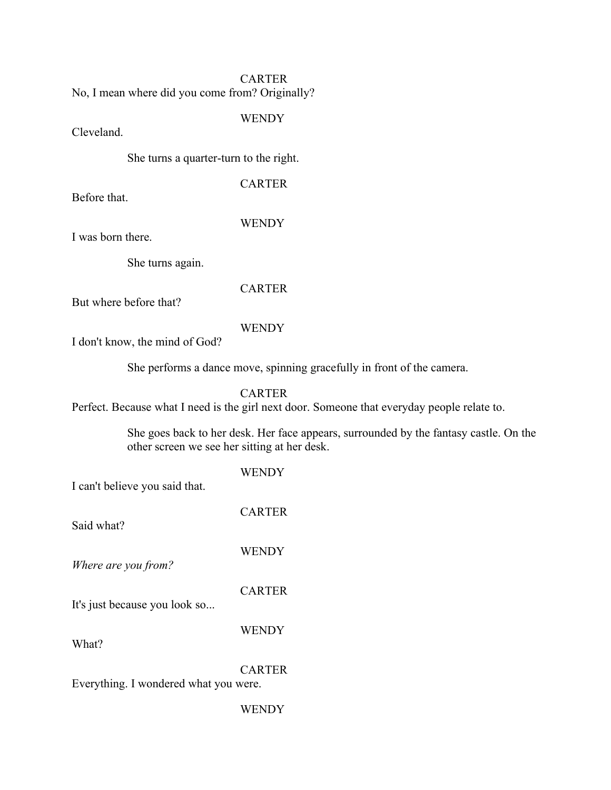#### **CARTER**

No, I mean where did you come from? Originally?

WENDY

Cleveland.

She turns a quarter-turn to the right.

CARTER

Before that.

#### WENDY

I was born there.

She turns again.

#### CARTER

But where before that?

#### WENDY

I don't know, the mind of God?

She performs a dance move, spinning gracefully in front of the camera.

#### CARTER

Perfect. Because what I need is the girl next door. Someone that everyday people relate to.

She goes back to her desk. Her face appears, surrounded by the fantasy castle. On the other screen we see her sitting at her desk.

| I can't believe you said that.        | WENDY         |
|---------------------------------------|---------------|
| Said what?                            | <b>CARTER</b> |
| Where are you from?                   | <b>WENDY</b>  |
| It's just because you look so         | <b>CARTER</b> |
| What?                                 | <b>WENDY</b>  |
|                                       | <b>CARTER</b> |
| Everything. I wondered what you were. |               |
|                                       | WENDY         |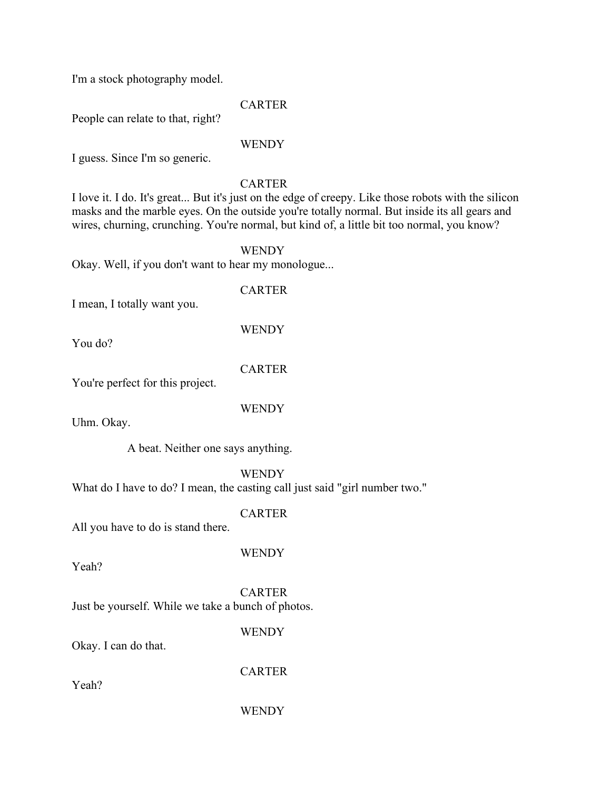I'm a stock photography model.

**CARTER** 

People can relate to that, right?

#### **WENDY**

I guess. Since I'm so generic.

#### CARTER

I love it. I do. It's great... But it's just on the edge of creepy. Like those robots with the silicon masks and the marble eyes. On the outside you're totally normal. But inside its all gears and wires, churning, crunching. You're normal, but kind of, a little bit too normal, you know?

WENDY

Okay. Well, if you don't want to hear my monologue...

#### CARTER

I mean, I totally want you.

**WENDY** 

You do?

#### CARTER

You're perfect for this project.

WENDY

Uhm. Okay.

A beat. Neither one says anything.

**WENDY** 

What do I have to do? I mean, the casting call just said "girl number two."

CARTER

All you have to do is stand there.

WENDY

Yeah?

**CARTER** Just be yourself. While we take a bunch of photos.

**WENDY** 

Okay. I can do that.

Yeah?

**CARTER** 

**WENDY**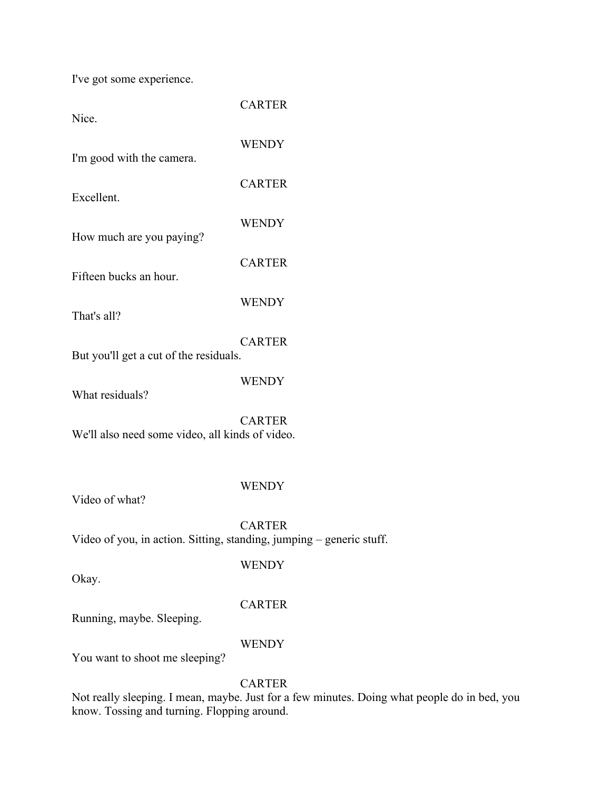I've got some experience.

| Nice.                                                                | <b>CARTER</b> |
|----------------------------------------------------------------------|---------------|
| I'm good with the camera.                                            | <b>WENDY</b>  |
| Excellent.                                                           | <b>CARTER</b> |
| How much are you paying?                                             | <b>WENDY</b>  |
| Fifteen bucks an hour.                                               | <b>CARTER</b> |
| That's all?                                                          | <b>WENDY</b>  |
| But you'll get a cut of the residuals.                               | <b>CARTER</b> |
| What residuals?                                                      | <b>WENDY</b>  |
| We'll also need some video, all kinds of video.                      | <b>CARTER</b> |
| Video of what?                                                       | <b>WENDY</b>  |
| Video of you, in action. Sitting, standing, jumping - generic stuff. | <b>CARTER</b> |
| Okay.                                                                | <b>WENDY</b>  |
|                                                                      | CARTER        |

Running, maybe. Sleeping.

#### WENDY

You want to shoot me sleeping?

#### CARTER

Not really sleeping. I mean, maybe. Just for a few minutes. Doing what people do in bed, you know. Tossing and turning. Flopping around.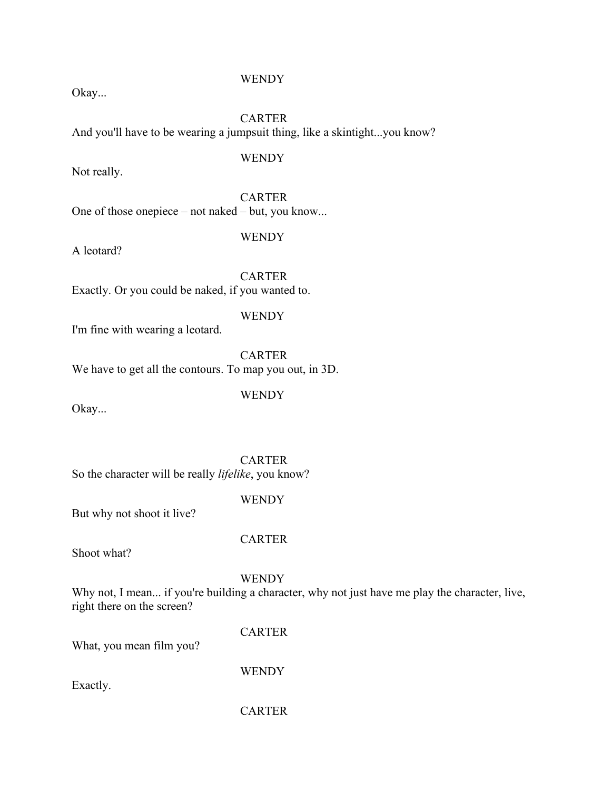#### **WENDY**

Okay...

CARTER And you'll have to be wearing a jumpsuit thing, like a skintight...you know?

WENDY

Not really.

**CARTER** 

One of those onepiece – not naked – but, you know...

**WENDY** 

A leotard?

**CARTER** Exactly. Or you could be naked, if you wanted to.

WENDY

I'm fine with wearing a leotard.

**CARTER** We have to get all the contours. To map you out, in 3D.

**WENDY** 

Okay...

CARTER So the character will be really *lifelike*, you know?

**WENDY** 

But why not shoot it live?

**CARTER** 

Shoot what?

**WENDY** 

Why not, I mean... if you're building a character, why not just have me play the character, live, right there on the screen?

**CARTER** 

What, you mean film you?

Exactly.

**WENDY** 

**CARTER**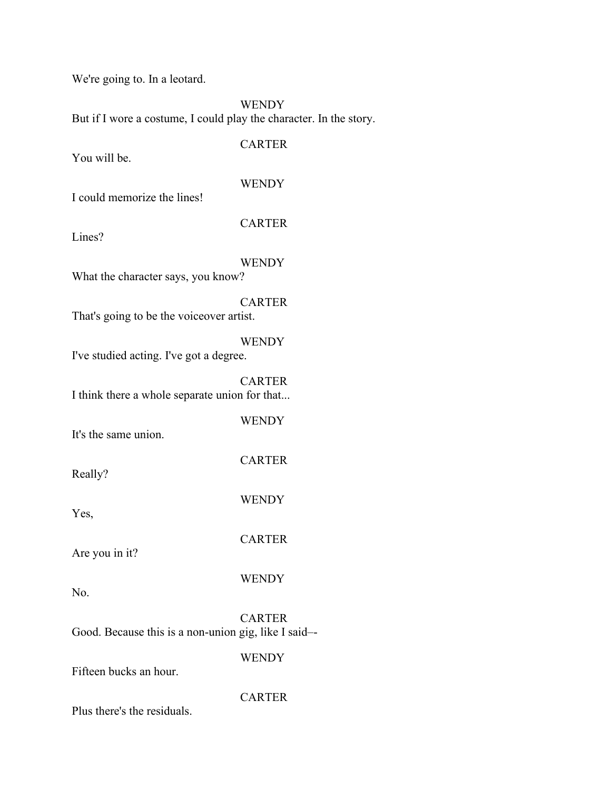We're going to. In a leotard.

**WENDY** 

But if I wore a costume, I could play the character. In the story.

You will be.

**CARTER** 

**WENDY** 

I could memorize the lines!

CARTER

Lines?

WENDY

What the character says, you know?

CARTER That's going to be the voiceover artist.

**WENDY** I've studied acting. I've got a degree.

**CARTER** I think there a whole separate union for that...

WENDY

CARTER

**WENDY** 

**CARTER** 

WENDY

It's the same union.

Really?

Yes,

Are you in it?

No.

**CARTER** Good. Because this is a non-union gig, like I said–-

WENDY

Fifteen bucks an hour.

**CARTER** 

Plus there's the residuals.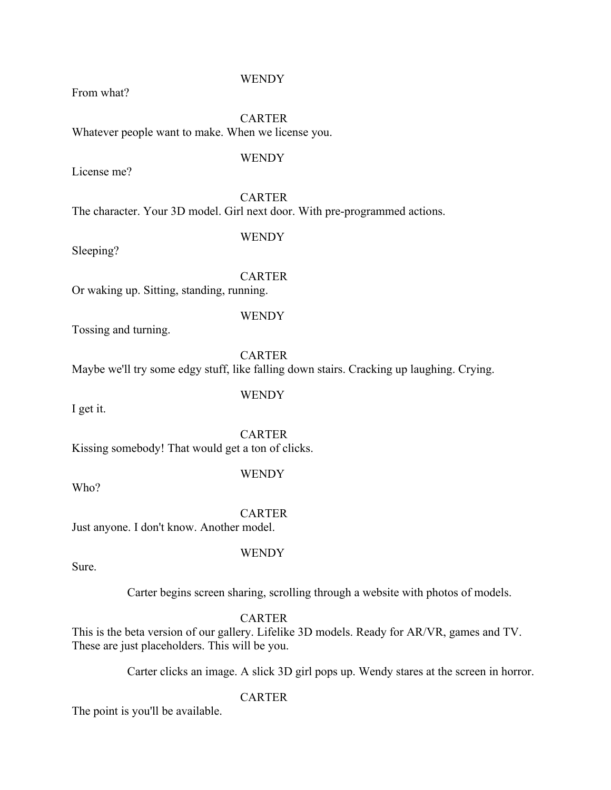#### **WENDY**

From what?

CARTER Whatever people want to make. When we license you.

#### WENDY

License me?

**CARTER** 

The character. Your 3D model. Girl next door. With pre-programmed actions.

#### **WENDY**

Sleeping?

#### **CARTER**

Or waking up. Sitting, standing, running.

#### WENDY

Tossing and turning.

**CARTER** 

Maybe we'll try some edgy stuff, like falling down stairs. Cracking up laughing. Crying.

I get it.

**WENDY** 

**CARTER** 

Kissing somebody! That would get a ton of clicks.

Who?

#### **WENDY**

**CARTER** Just anyone. I don't know. Another model.

#### WENDY

Sure.

Carter begins screen sharing, scrolling through a website with photos of models.

**CARTER** 

This is the beta version of our gallery. Lifelike 3D models. Ready for AR/VR, games and TV. These are just placeholders. This will be you.

Carter clicks an image. A slick 3D girl pops up. Wendy stares at the screen in horror.

**CARTER** 

The point is you'll be available.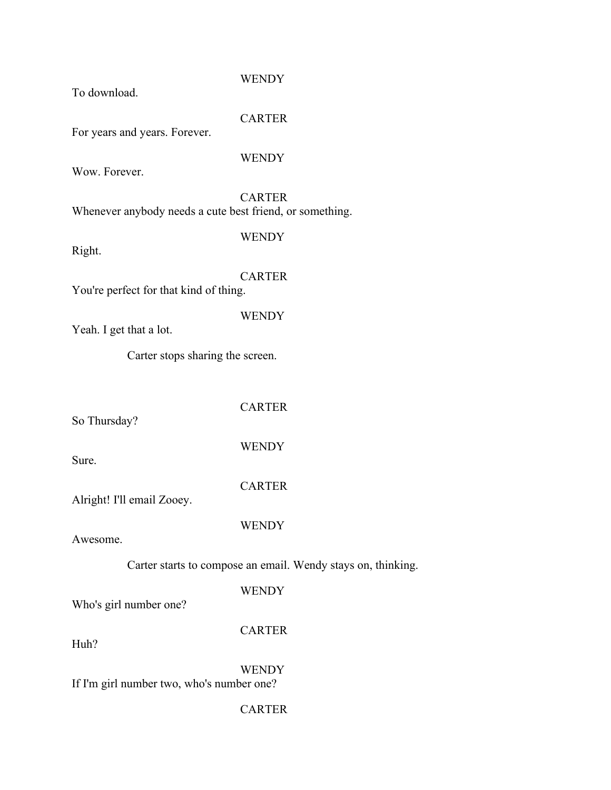#### **WENDY**

To download.

**CARTER** 

For years and years. Forever.

#### WENDY

Wow. Forever.

**CARTER** Whenever anybody needs a cute best friend, or something.

**WENDY** 

Right.

**CARTER** 

WENDY

You're perfect for that kind of thing.

Yeah. I get that a lot.

Carter stops sharing the screen.

**CARTER** 

So Thursday?

**WENDY** 

Sure.

CARTER

WENDY

Alright! I'll email Zooey.

Awesome.

Carter starts to compose an email. Wendy stays on, thinking.

WENDY

Who's girl number one?

CARTER

Huh?

WENDY If I'm girl number two, who's number one?

**CARTER**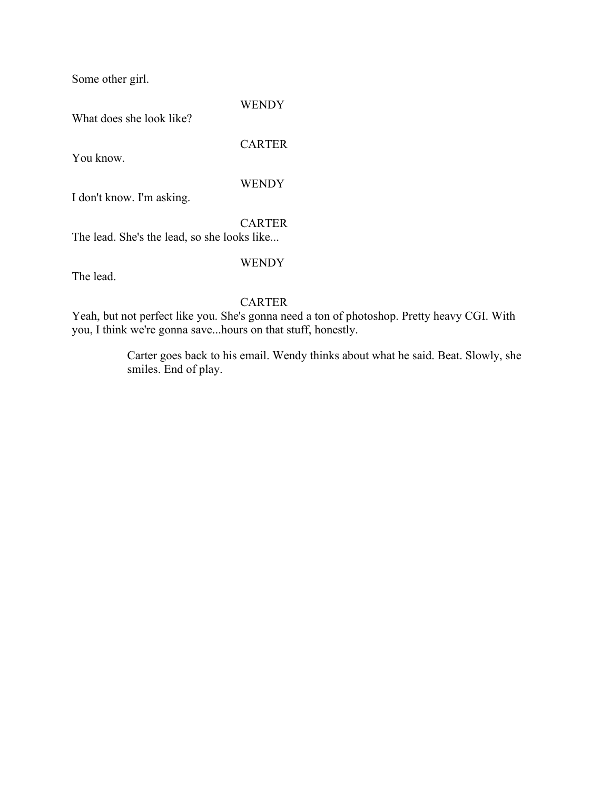Some other girl.

#### **WENDY**

What does she look like?

**CARTER** 

You know.

**WENDY** 

I don't know. I'm asking.

CARTER

The lead. She's the lead, so she looks like...

WENDY

The lead.

#### **CARTER**

Yeah, but not perfect like you. She's gonna need a ton of photoshop. Pretty heavy CGI. With you, I think we're gonna save...hours on that stuff, honestly.

> Carter goes back to his email. Wendy thinks about what he said. Beat. Slowly, she smiles. End of play.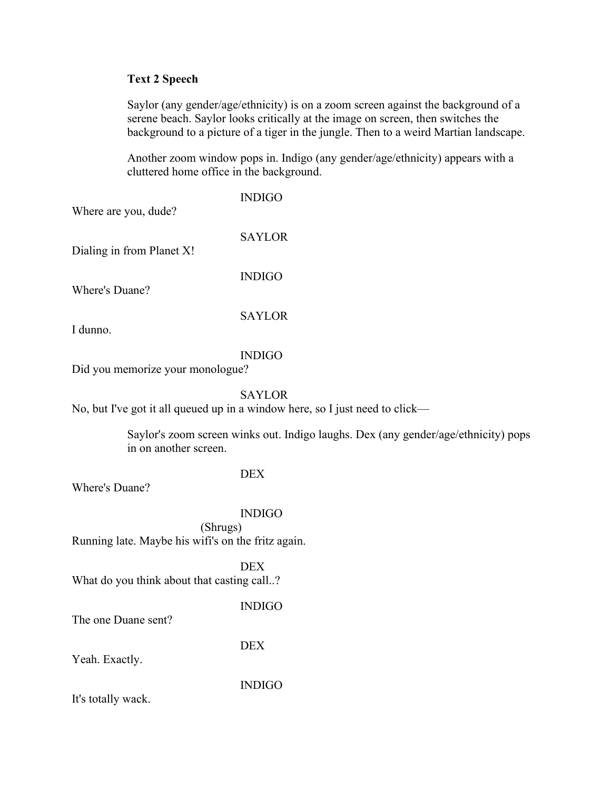#### **Text 2 Speech**

Saylor (any gender/age/ethnicity) is on a zoom screen against the background of a serene beach. Saylor looks critically at the image on screen, then switches the background to a picture of a tiger in the jungle. Then to a weird Martian landscape.

Another zoom window pops in. Indigo (any gender/age/ethnicity) appears with a cluttered home office in the background.

| Where are you, dude?                                           | <b>INDIGO</b>                                                                                 |
|----------------------------------------------------------------|-----------------------------------------------------------------------------------------------|
| Dialing in from Planet X!                                      | <b>SAYLOR</b>                                                                                 |
| Where's Duane?                                                 | <b>INDIGO</b>                                                                                 |
| I dunno.                                                       | <b>SAYLOR</b>                                                                                 |
| Did you memorize your monologue?                               | <b>INDIGO</b>                                                                                 |
|                                                                | <b>SAYLOR</b><br>No, but I've got it all queued up in a window here, so I just need to click- |
| in on another screen.                                          | Saylor's zoom screen winks out. Indigo laughs. Dex (any gender/age/ethnicity) pops            |
| Where's Duane?                                                 | <b>DEX</b>                                                                                    |
|                                                                | <b>INDIGO</b>                                                                                 |
| (Shrugs)<br>Running late. Maybe his wifi's on the fritz again. |                                                                                               |
| What do you think about that casting call?                     | <b>DEX</b>                                                                                    |
| The one Duane sent?                                            | <b>INDIGO</b>                                                                                 |
| Yeah. Exactly.                                                 | <b>DEX</b>                                                                                    |
|                                                                |                                                                                               |

INDIGO

It's totally wack.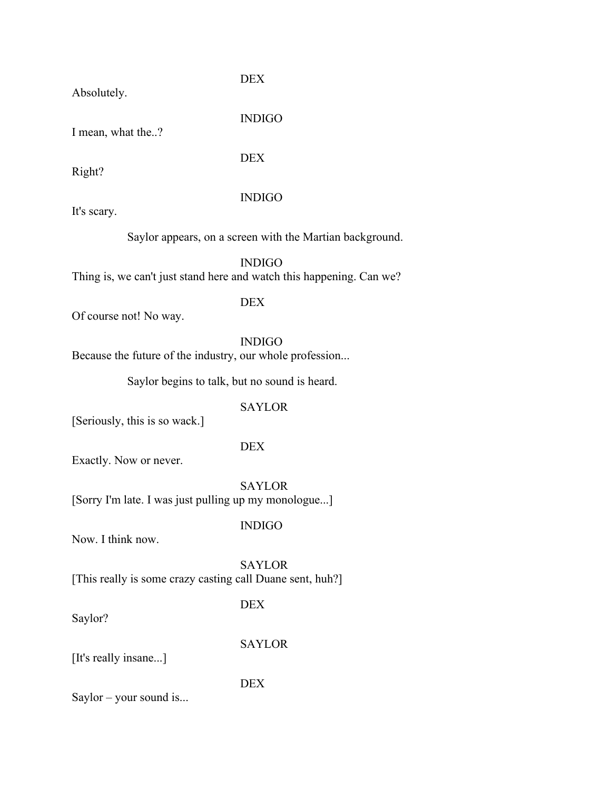Absolutely.

DEX

INDIGO

I mean, what the..?

DEX

Right?

#### INDIGO

It's scary.

Saylor appears, on a screen with the Martian background.

INDIGO Thing is, we can't just stand here and watch this happening. Can we?

DEX

Of course not! No way.

INDIGO

Because the future of the industry, our whole profession...

Saylor begins to talk, but no sound is heard.

#### SAYLOR

[Seriously, this is so wack.]

#### DEX

Exactly. Now or never.

SAYLOR [Sorry I'm late. I was just pulling up my monologue...]

INDIGO

Now. I think now.

SAYLOR [This really is some crazy casting call Duane sent, huh?]

Saylor?

**DEX** 

SAYLOR

[It's really insane...]

DEX

Saylor – your sound is...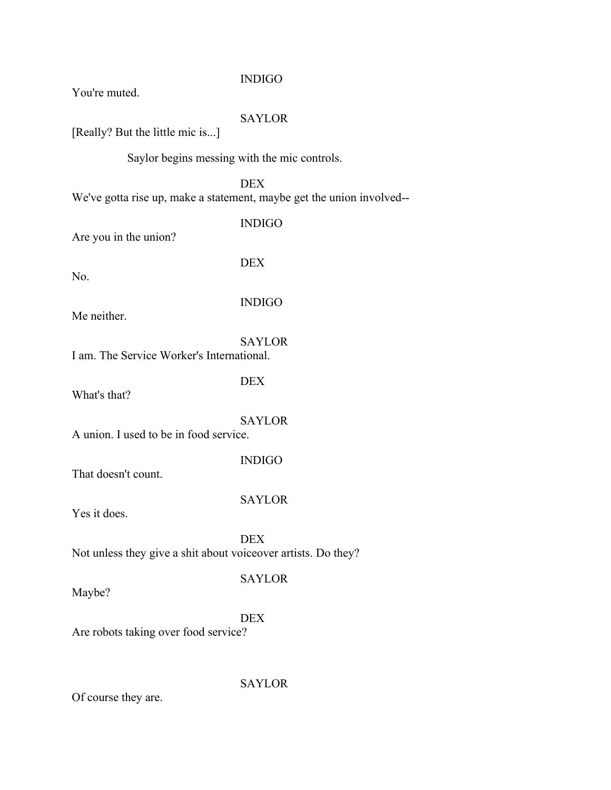#### INDIGO

You're muted.

#### SAYLOR

[Really? But the little mic is...]

Saylor begins messing with the mic controls.

DEX We've gotta rise up, make a statement, maybe get the union involved--

INDIGO

Are you in the union?

No.

DEX

#### INDIGO

Me neither.

SAYLOR

I am. The Service Worker's International.

DEX

What's that?

SAYLOR

A union. I used to be in food service.

INDIGO

That doesn't count.

SAYLOR

Yes it does.

DEX Not unless they give a shit about voiceover artists. Do they?

Maybe?

SAYLOR

DEX

SAYLOR

Are robots taking over food service?

Of course they are.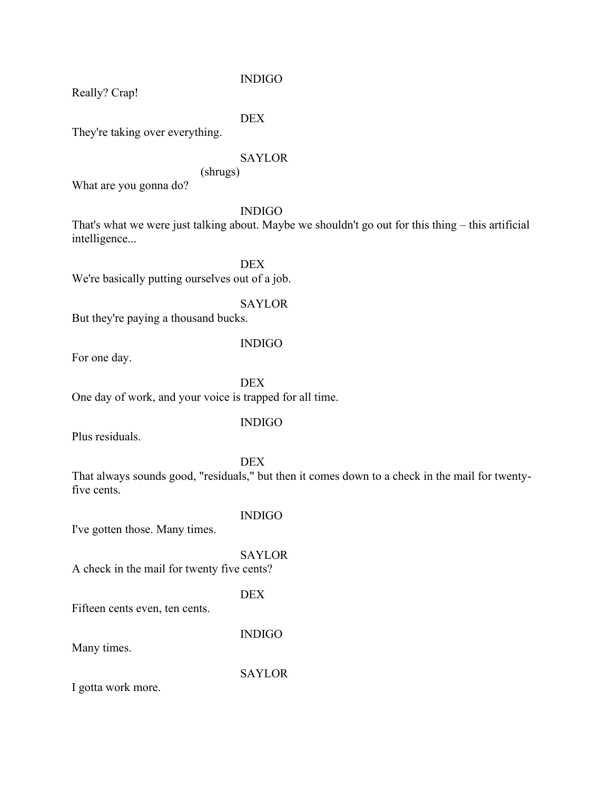INDIGO

Really? Crap!

DEX

They're taking over everything.

#### SAYLOR

(shrugs)

What are you gonna do?

#### INDIGO

That's what we were just talking about. Maybe we shouldn't go out for this thing – this artificial intelligence...

DEX We're basically putting ourselves out of a job.

SAYLOR

But they're paying a thousand bucks.

For one day.

#### INDIGO

**DEX** One day of work, and your voice is trapped for all time.

#### INDIGO

Plus residuals.

DEX

That always sounds good, "residuals," but then it comes down to a check in the mail for twentyfive cents.

#### INDIGO

I've gotten those. Many times.

# SAYLOR

A check in the mail for twenty five cents?

#### DEX

Fifteen cents even, ten cents.

INDIGO

Many times.

SAYLOR

I gotta work more.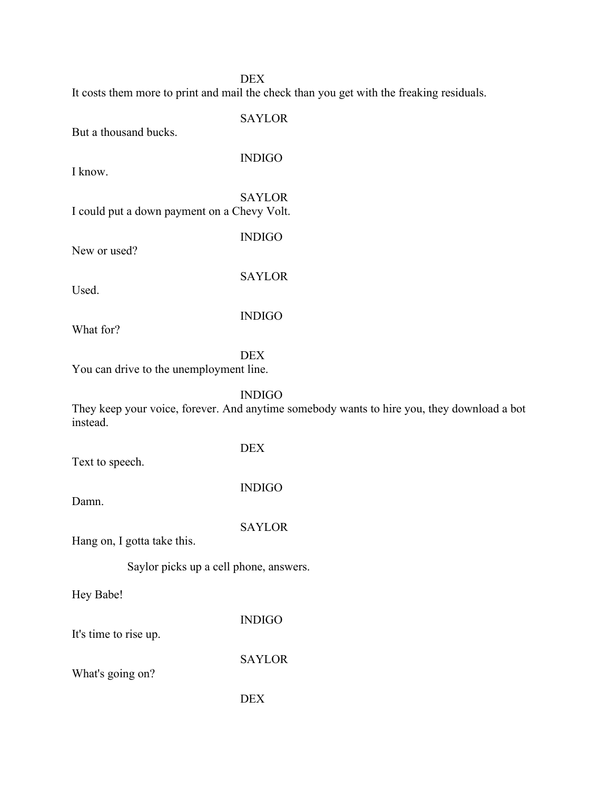#### DEX

It costs them more to print and mail the check than you get with the freaking residuals.

SAYLOR But a thousand bucks. INDIGO I know. SAYLOR I could put a down payment on a Chevy Volt. INDIGO New or used? SAYLOR Used. INDIGO What for? DEX You can drive to the unemployment line. INDIGO They keep your voice, forever. And anytime somebody wants to hire you, they download a bot instead. DEX Text to speech. INDIGO Damn. **SAYLOR** Hang on, I gotta take this. Saylor picks up a cell phone, answers. Hey Babe! INDIGO It's time to rise up. **SAYLOR** What's going on? DEX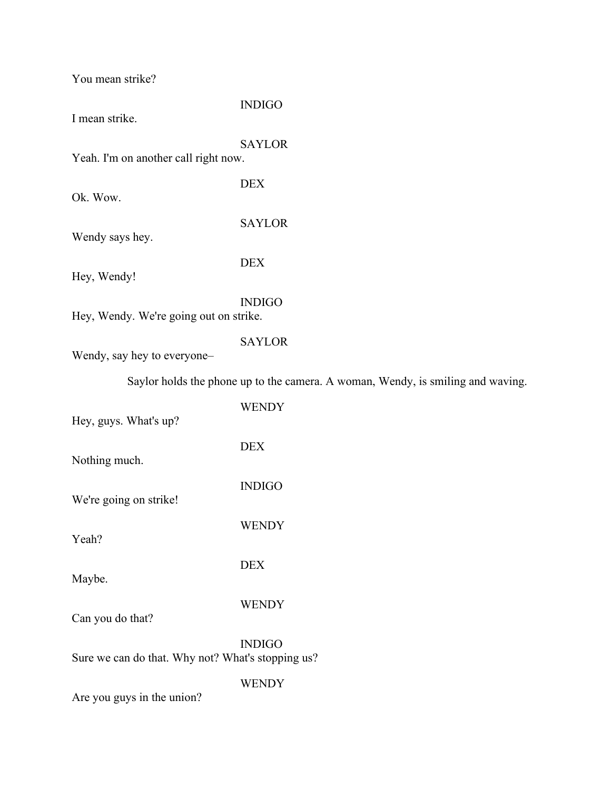You mean strike?

#### INDIGO

I mean strike.

SAYLOR

DEX

DEX

Yeah. I'm on another call right now.

Ok. Wow.

Wendy says hey.

Hey, Wendy!

INDIGO

SAYLOR

Hey, Wendy. We're going out on strike.

#### SAYLOR

Wendy, say hey to everyone–

Saylor holds the phone up to the camera. A woman, Wendy, is smiling and waving.

| Hey, guys. What's up?                             | <b>WENDY</b>    |
|---------------------------------------------------|-----------------|
| Nothing much.                                     | <b>DEX</b>      |
|                                                   | <b>INDIGO</b>   |
| We're going on strike!                            | <b>WENDY</b>    |
| Yeah?                                             | <b>DEX</b>      |
| Maybe.                                            |                 |
| Can you do that?                                  | <b>WENDY</b>    |
| Sure we can do that. Why not? What's stopping us? | <b>INDIGO</b>   |
|                                                   | <b>TTITITIN</b> |

WENDY

Are you guys in the union?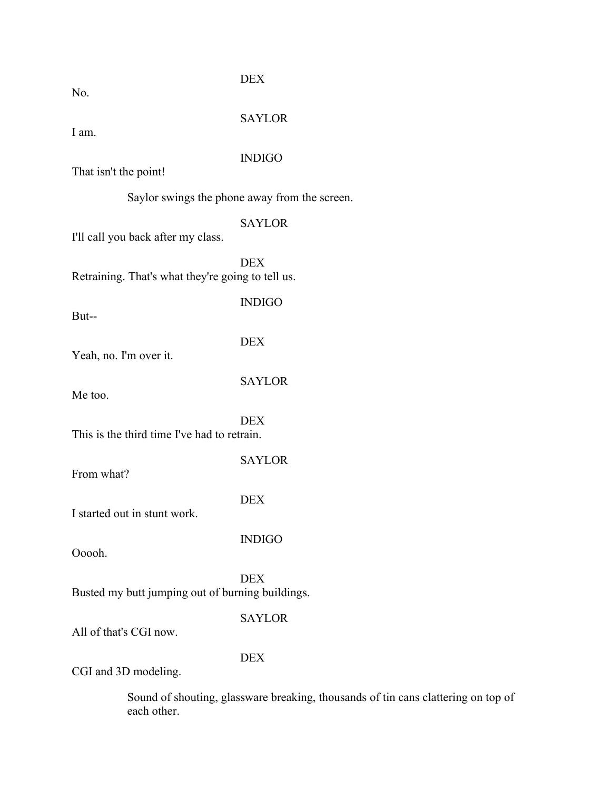No.

DEX

SAYLOR

I am.

#### INDIGO

That isn't the point!

Saylor swings the phone away from the screen.

#### SAYLOR

I'll call you back after my class.

DEX Retraining. That's what they're going to tell us.

But--

INDIGO

Yeah, no. I'm over it.

**SAYLOR** 

Me too.

DEX

DEX This is the third time I've had to retrain.

From what?

DEX

INDIGO

SAYLOR

I started out in stunt work.

Ooooh.

DEX Busted my butt jumping out of burning buildings.

#### SAYLOR

All of that's CGI now.

DEX

CGI and 3D modeling.

Sound of shouting, glassware breaking, thousands of tin cans clattering on top of each other.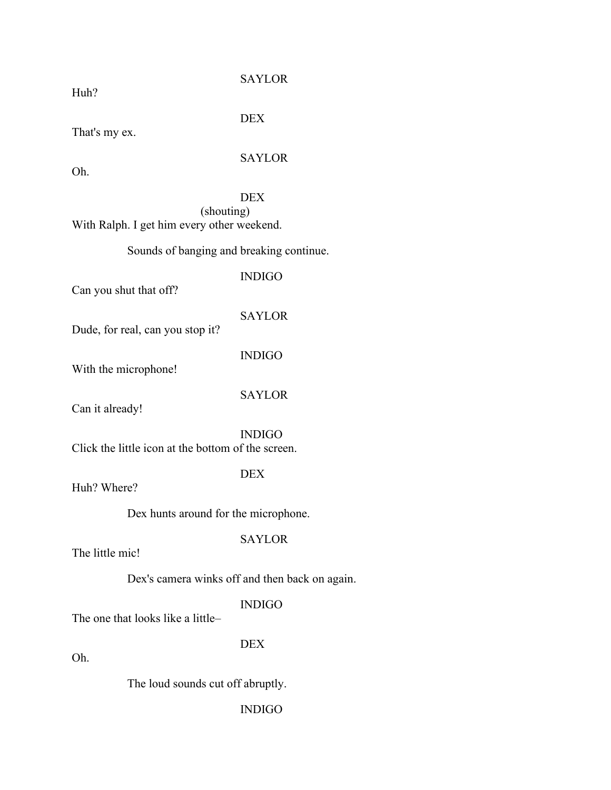Huh?

#### **SAYLOR**

That's my ex.

# SAYLOR

DEX

Oh.

#### DEX (shouting) With Ralph. I get him every other weekend.

#### Sounds of banging and breaking continue.

Can you shut that off?

INDIGO

SAYLOR

Dude, for real, can you stop it?

INDIGO

With the microphone!

SAYLOR

Can it already!

INDIGO Click the little icon at the bottom of the screen.

DEX

Huh? Where?

Dex hunts around for the microphone.

#### SAYLOR

The little mic!

Dex's camera winks off and then back on again.

#### INDIGO

The one that looks like a little–

DEX

Oh.

The loud sounds cut off abruptly.

INDIGO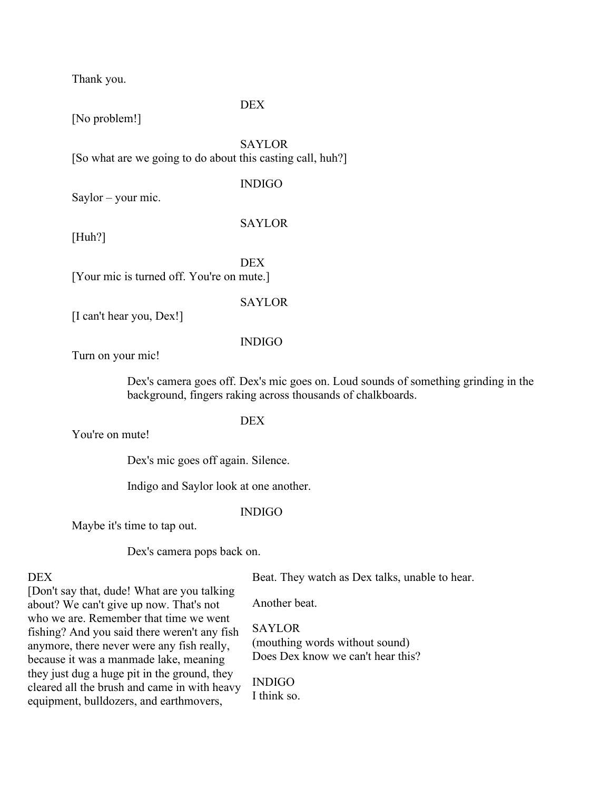Thank you.

#### **DEX**

[No problem!]

SAYLOR [So what are we going to do about this casting call, huh?]

#### INDIGO

Saylor – your mic.

SAYLOR

[Huh?]

DEX [Your mic is turned off. You're on mute.]

**SAYLOR** 

[I can't hear you, Dex!]

INDIGO

Turn on your mic!

Dex's camera goes off. Dex's mic goes on. Loud sounds of something grinding in the background, fingers raking across thousands of chalkboards.

#### DEX

You're on mute!

Dex's mic goes off again. Silence.

Indigo and Saylor look at one another.

#### INDIGO

Maybe it's time to tap out.

Dex's camera pops back on.

#### DEX

Beat. They watch as Dex talks, unable to hear.

[Don't say that, dude! What are you talking about? We can't give up now. That's not who we are. Remember that time we went fishing? And you said there weren't any fish anymore, there never were any fish really, because it was a manmade lake, meaning they just dug a huge pit in the ground, they cleared all the brush and came in with heavy equipment, bulldozers, and earthmovers,

Another beat.

SAYLOR (mouthing words without sound) Does Dex know we can't hear this?

INDIGO I think so.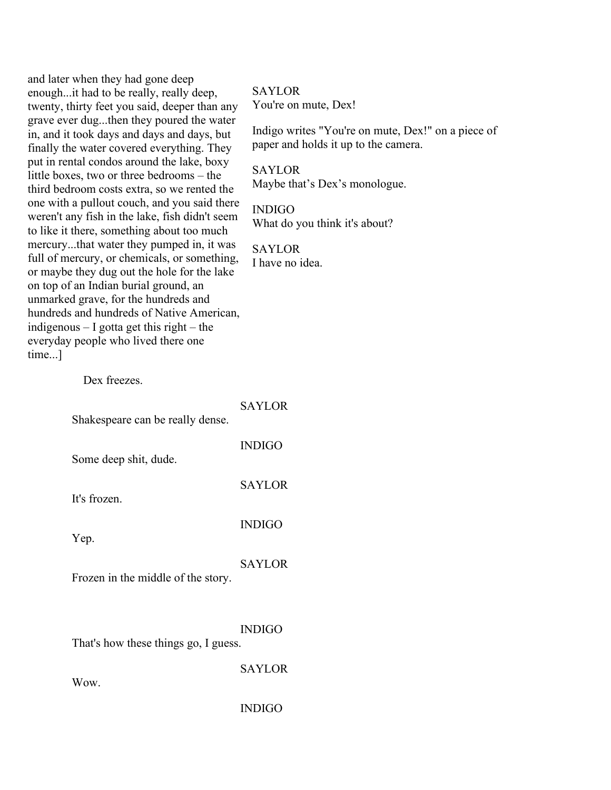| and later when they had gone deep<br>enoughit had to be really, really deep,<br>twenty, thirty feet you said, deeper than any<br>grave ever dugthen they poured the water<br>in, and it took days and days and days, but<br>finally the water covered everything. They<br>put in rental condos around the lake, boxy<br>little boxes, two or three bedrooms - the<br>third bedroom costs extra, so we rented the<br>one with a pullout couch, and you said there<br>weren't any fish in the lake, fish didn't seem<br>to like it there, something about too much<br>mercurythat water they pumped in, it was<br>full of mercury, or chemicals, or something,<br>or maybe they dug out the hole for the lake<br>on top of an Indian burial ground, an<br>unmarked grave, for the hundreds and<br>hundreds and hundreds of Native American,<br>indigenous $-$ I gotta get this right $-$ the<br>everyday people who lived there one<br>time] | <b>SAYLOR</b><br>You're on mute, Dex!<br>Indigo writes "You're on mute, Dex!" on a piece of<br>paper and holds it up to the camera.<br><b>SAYLOR</b><br>Maybe that's Dex's monologue.<br><b>INDIGO</b><br>What do you think it's about?<br><b>SAYLOR</b><br>I have no idea. |
|--------------------------------------------------------------------------------------------------------------------------------------------------------------------------------------------------------------------------------------------------------------------------------------------------------------------------------------------------------------------------------------------------------------------------------------------------------------------------------------------------------------------------------------------------------------------------------------------------------------------------------------------------------------------------------------------------------------------------------------------------------------------------------------------------------------------------------------------------------------------------------------------------------------------------------------------|-----------------------------------------------------------------------------------------------------------------------------------------------------------------------------------------------------------------------------------------------------------------------------|
| Dex freezes.                                                                                                                                                                                                                                                                                                                                                                                                                                                                                                                                                                                                                                                                                                                                                                                                                                                                                                                               |                                                                                                                                                                                                                                                                             |
| Shakespeare can be really dense.                                                                                                                                                                                                                                                                                                                                                                                                                                                                                                                                                                                                                                                                                                                                                                                                                                                                                                           | <b>SAYLOR</b>                                                                                                                                                                                                                                                               |
| Some deep shit, dude.                                                                                                                                                                                                                                                                                                                                                                                                                                                                                                                                                                                                                                                                                                                                                                                                                                                                                                                      | <b>INDIGO</b>                                                                                                                                                                                                                                                               |
| It's frozen.                                                                                                                                                                                                                                                                                                                                                                                                                                                                                                                                                                                                                                                                                                                                                                                                                                                                                                                               | <b>SAYLOR</b>                                                                                                                                                                                                                                                               |
| Yep.                                                                                                                                                                                                                                                                                                                                                                                                                                                                                                                                                                                                                                                                                                                                                                                                                                                                                                                                       | <b>INDIGO</b>                                                                                                                                                                                                                                                               |
| Frozen in the middle of the story.                                                                                                                                                                                                                                                                                                                                                                                                                                                                                                                                                                                                                                                                                                                                                                                                                                                                                                         | <b>SAYLOR</b>                                                                                                                                                                                                                                                               |
| That's how these things go, I guess.                                                                                                                                                                                                                                                                                                                                                                                                                                                                                                                                                                                                                                                                                                                                                                                                                                                                                                       | <b>INDIGO</b>                                                                                                                                                                                                                                                               |
| Wow.                                                                                                                                                                                                                                                                                                                                                                                                                                                                                                                                                                                                                                                                                                                                                                                                                                                                                                                                       | <b>SAYLOR</b>                                                                                                                                                                                                                                                               |
|                                                                                                                                                                                                                                                                                                                                                                                                                                                                                                                                                                                                                                                                                                                                                                                                                                                                                                                                            | <b>INDIGO</b>                                                                                                                                                                                                                                                               |
|                                                                                                                                                                                                                                                                                                                                                                                                                                                                                                                                                                                                                                                                                                                                                                                                                                                                                                                                            |                                                                                                                                                                                                                                                                             |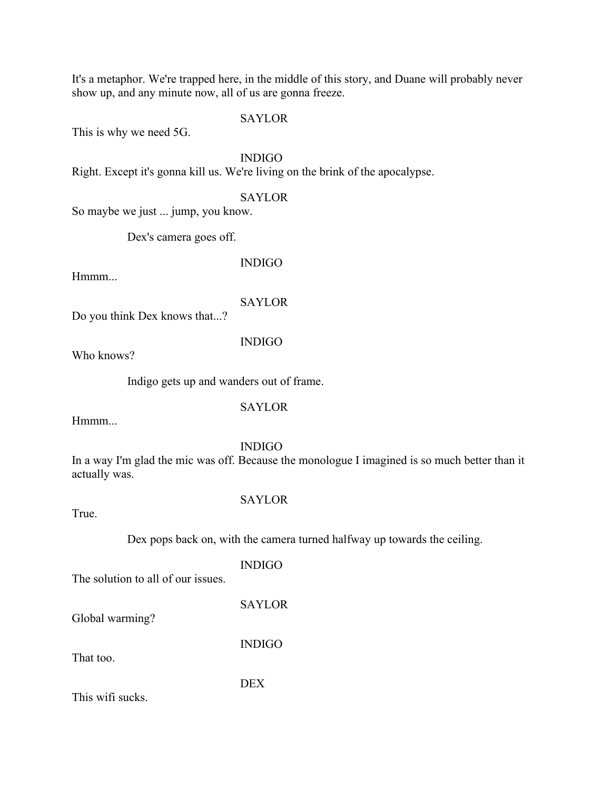It's a metaphor. We're trapped here, in the middle of this story, and Duane will probably never show up, and any minute now, all of us are gonna freeze.

**SAYLOR** 

This is why we need 5G.

INDIGO

Right. Except it's gonna kill us. We're living on the brink of the apocalypse.

**SAYLOR** 

So maybe we just ... jump, you know.

Dex's camera goes off.

Hmmm...

INDIGO

SAYLOR

Do you think Dex knows that...?

INDIGO

Who knows?

Indigo gets up and wanders out of frame.

SAYLOR

Hmmm...

INDIGO

In a way I'm glad the mic was off. Because the monologue I imagined is so much better than it actually was.

True.

#### SAYLOR

Dex pops back on, with the camera turned halfway up towards the ceiling.

INDIGO The solution to all of our issues.

SAYLOR

INDIGO

Global warming?

That too.

DEX

This wifi sucks.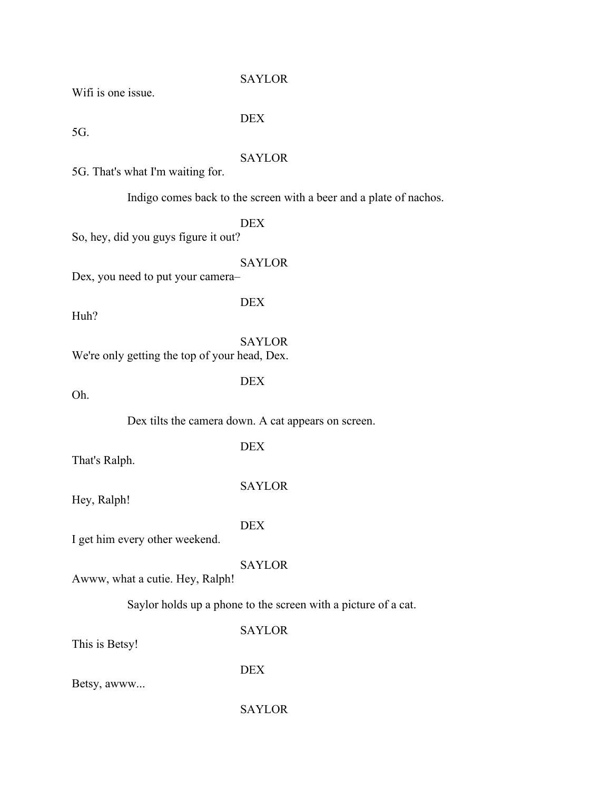#### **SAYLOR**

Wifi is one issue.

DEX

5G.

#### SAYLOR

5G. That's what I'm waiting for.

Indigo comes back to the screen with a beer and a plate of nachos.

DEX

So, hey, did you guys figure it out?

#### SAYLOR

Dex, you need to put your camera–

Huh?

SAYLOR

We're only getting the top of your head, Dex.

DEX

DEX

Oh.

Dex tilts the camera down. A cat appears on screen.

DEX

That's Ralph.

SAYLOR

Hey, Ralph!

DEX

I get him every other weekend.

SAYLOR

Awww, what a cutie. Hey, Ralph!

Saylor holds up a phone to the screen with a picture of a cat.

SAYLOR

This is Betsy!

DEX

Betsy, awww...

SAYLOR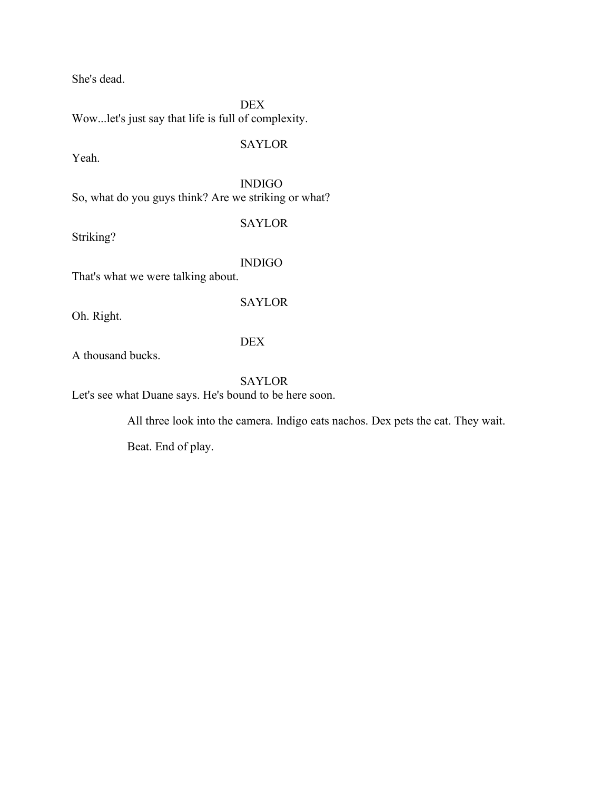She's dead.

DEX Wow...let's just say that life is full of complexity.

SAYLOR

Yeah.

INDIGO So, what do you guys think? Are we striking or what?

SAYLOR

Striking?

INDIGO

SAYLOR

That's what we were talking about.

Oh. Right.

DEX

A thousand bucks.

SAYLOR Let's see what Duane says. He's bound to be here soon.

All three look into the camera. Indigo eats nachos. Dex pets the cat. They wait.

Beat. End of play.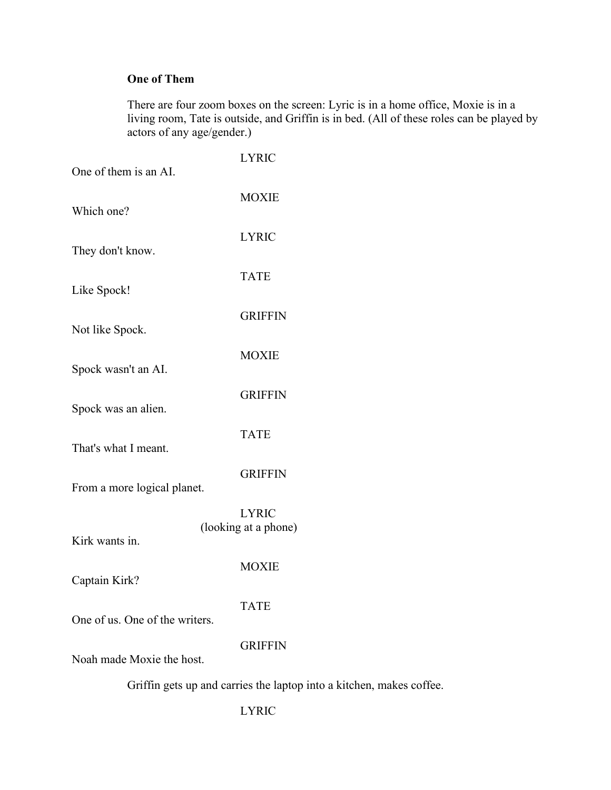## **One of Them**

There are four zoom boxes on the screen: Lyric is in a home office, Moxie is in a living room, Tate is outside, and Griffin is in bed. (All of these roles can be played by actors of any age/gender.)

| One of them is an AI.          | <b>LYRIC</b>                                                         |
|--------------------------------|----------------------------------------------------------------------|
| Which one?                     | <b>MOXIE</b>                                                         |
| They don't know.               | <b>LYRIC</b>                                                         |
| Like Spock!                    | <b>TATE</b>                                                          |
| Not like Spock.                | <b>GRIFFIN</b>                                                       |
| Spock wasn't an AI.            | <b>MOXIE</b>                                                         |
| Spock was an alien.            | <b>GRIFFIN</b>                                                       |
| That's what I meant.           | <b>TATE</b>                                                          |
| From a more logical planet.    | <b>GRIFFIN</b>                                                       |
| Kirk wants in.                 | <b>LYRIC</b><br>(looking at a phone)                                 |
| Captain Kirk?                  | <b>MOXIE</b>                                                         |
| One of us. One of the writers. | <b>TATE</b>                                                          |
| Noah made Moxie the host.      | <b>GRIFFIN</b>                                                       |
|                                | Griffin gets up and carries the laptop into a kitchen, makes coffee. |

### LYRIC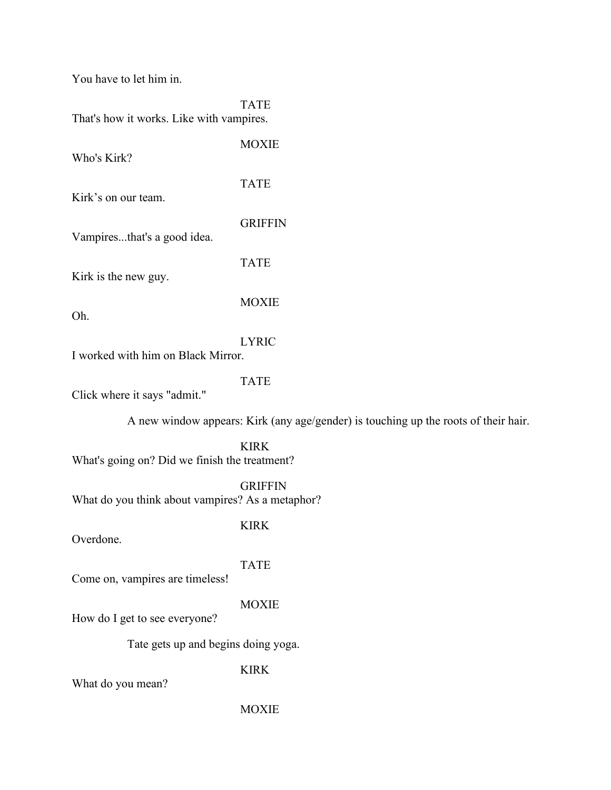You have to let him in.

|                                          | <b>TATE</b> |
|------------------------------------------|-------------|
| That's how it works. Like with vampires. |             |

| Who's Kirk?                 | <b>MOXIE</b>   |
|-----------------------------|----------------|
| Kirk's on our team.         | <b>TATE</b>    |
| Vampiresthat's a good idea. | <b>GRIFFIN</b> |
| Kirk is the new guy.        | <b>TATE</b>    |
| Oh.                         | <b>MOXIE</b>   |
|                             |                |

LYRIC

I worked with him on Black Mirror.

TATE

Click where it says "admit."

A new window appears: Kirk (any age/gender) is touching up the roots of their hair.

KIRK What's going on? Did we finish the treatment?

GRIFFIN What do you think about vampires? As a metaphor?

Overdone.

KIRK

TATE

Come on, vampires are timeless!

#### MOXIE

How do I get to see everyone?

Tate gets up and begins doing yoga.

KIRK

What do you mean?

**MOXIE**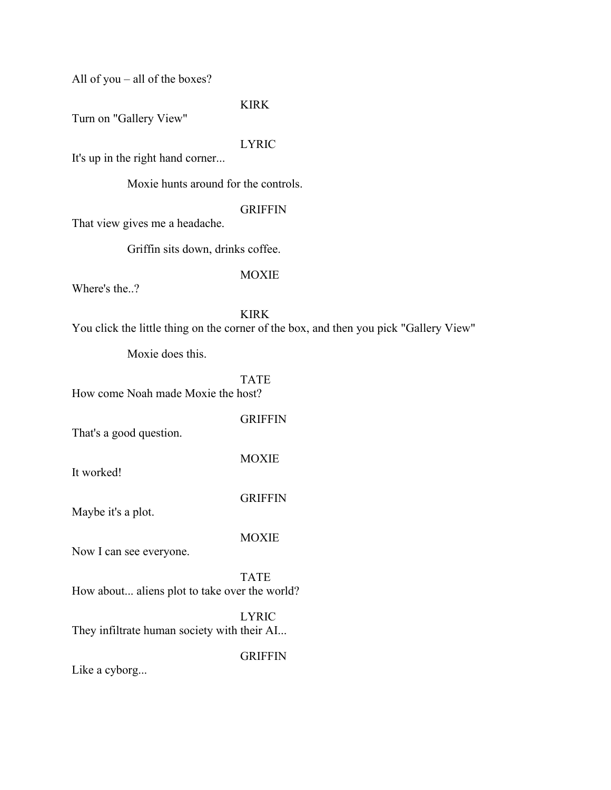All of you – all of the boxes?

#### KIRK

Turn on "Gallery View"

#### LYRIC

It's up in the right hand corner...

Moxie hunts around for the controls.

#### GRIFFIN

That view gives me a headache.

Griffin sits down, drinks coffee.

#### MOXIE

Where's the..?

KIRK You click the little thing on the corner of the box, and then you pick "Gallery View"

Moxie does this.

#### TATE

How come Noah made Moxie the host?

#### **GRIFFIN**

MOXIE

That's a good question.

It worked!

GRIFFIN

Maybe it's a plot.

#### MOXIE

Now I can see everyone.

TATE How about... aliens plot to take over the world?

LYRIC They infiltrate human society with their AI...

#### GRIFFIN

Like a cyborg...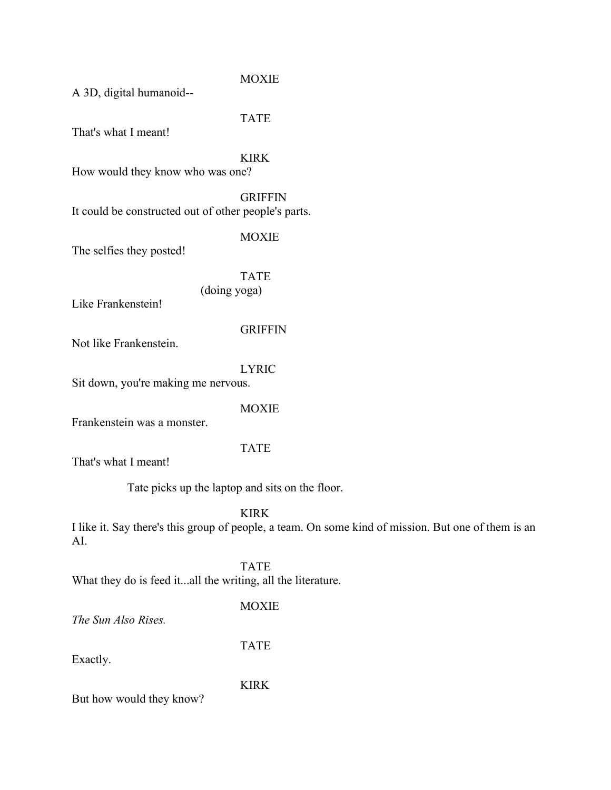MOXIE

A 3D, digital humanoid--

TATE

That's what I meant!

KIRK

How would they know who was one?

**GRIFFIN** It could be constructed out of other people's parts.

MOXIE

The selfies they posted!

TATE (doing yoga)

Like Frankenstein!

**GRIFFIN** 

Not like Frankenstein.

LYRIC

Sit down, you're making me nervous.

MOXIE

Frankenstein was a monster.

TATE

That's what I meant!

Tate picks up the laptop and sits on the floor.

KIRK

I like it. Say there's this group of people, a team. On some kind of mission. But one of them is an AI.

TATE What they do is feed it...all the writing, all the literature.

MOXIE

*The Sun Also Rises.*

TATE

Exactly.

KIRK

But how would they know?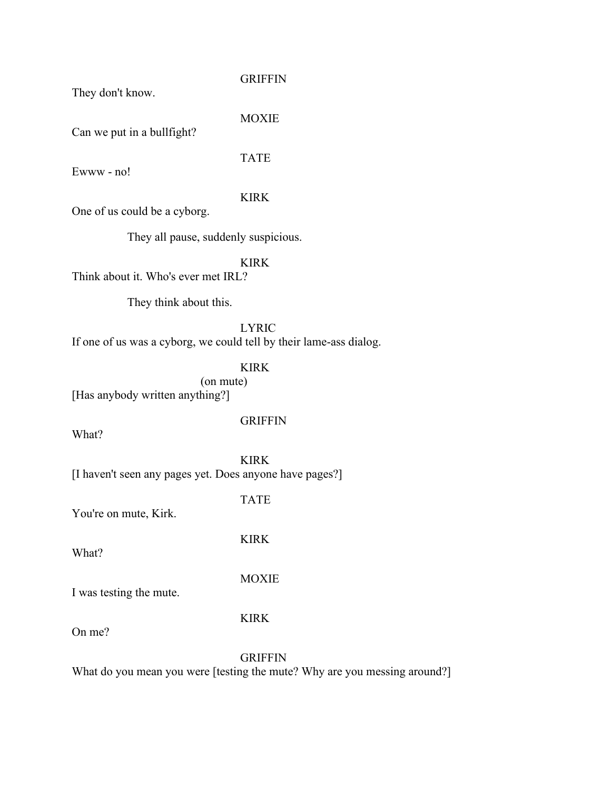They don't know.

#### GRIFFIN

Can we put in a bullfight?

#### TATE

MOXIE

Ewww - no!

#### KIRK

One of us could be a cyborg.

They all pause, suddenly suspicious.

#### KIRK

Think about it. Who's ever met IRL?

They think about this.

LYRIC If one of us was a cyborg, we could tell by their lame-ass dialog.

#### KIRK

(on mute) [Has anybody written anything?]

#### GRIFFIN

What?

KIRK [I haven't seen any pages yet. Does anyone have pages?]

#### TATE

KIRK

You're on mute, Kirk.

What?

MOXIE

I was testing the mute.

#### KIRK

On me?

#### GRIFFIN

What do you mean you were [testing the mute? Why are you messing around?]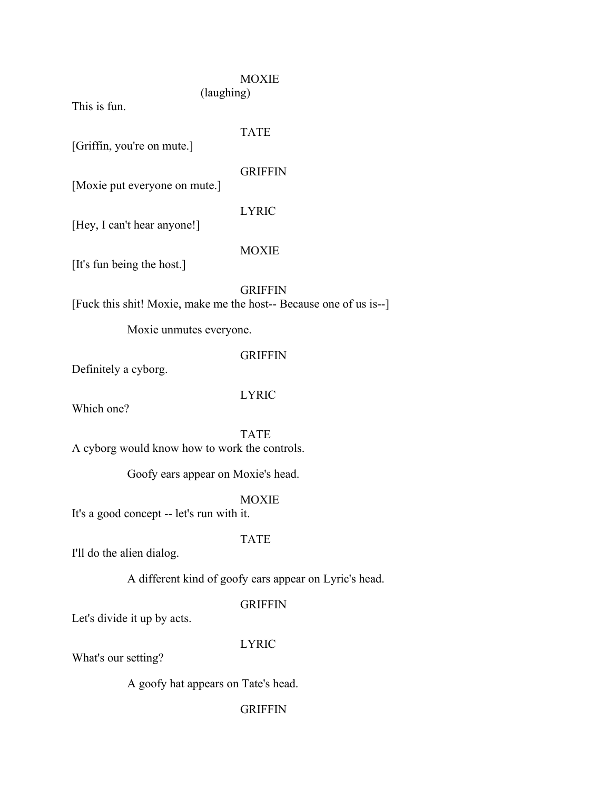#### MOXIE (laughing)

This is fun.

TATE

[Griffin, you're on mute.]

#### **GRIFFIN**

[Moxie put everyone on mute.]

#### LYRIC

[Hey, I can't hear anyone!]

#### MOXIE

[It's fun being the host.]

#### GRIFFIN

[Fuck this shit! Moxie, make me the host-- Because one of us is--]

Moxie unmutes everyone.

#### GRIFFIN

Definitely a cyborg.

#### LYRIC

Which one?

TATE

A cyborg would know how to work the controls.

Goofy ears appear on Moxie's head.

#### MOXIE

It's a good concept -- let's run with it.

#### TATE

I'll do the alien dialog.

A different kind of goofy ears appear on Lyric's head.

#### GRIFFIN

Let's divide it up by acts.

#### LYRIC

What's our setting?

A goofy hat appears on Tate's head.

#### **GRIFFIN**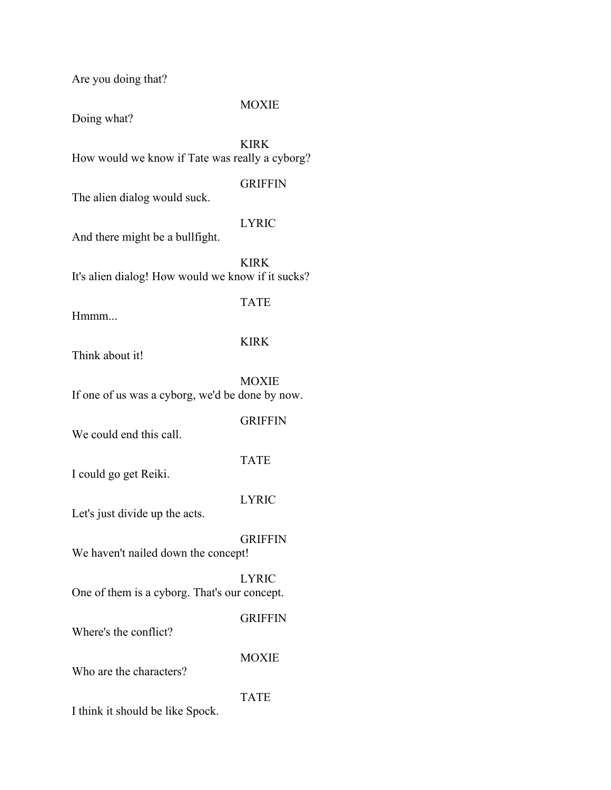Are you doing that?

#### MOXIE

Doing what?

KIRK How would we know if Tate was really a cyborg?

**GRIFFIN** 

The alien dialog would suck.

#### LYRIC

And there might be a bullfight.

KIRK It's alien dialog! How would we know if it sucks?

TATE

Hmmm...

#### KIRK

Think about it!

MOXIE If one of us was a cyborg, we'd be done by now.

#### GRIFFIN

We could end this call.

TATE

I could go get Reiki.

#### LYRIC

Let's just divide up the acts.

GRIFFIN We haven't nailed down the concept!

LYRIC One of them is a cyborg. That's our concept.

#### GRIFFIN

Where's the conflict?

MOXIE

Who are the characters?

TATE

I think it should be like Spock.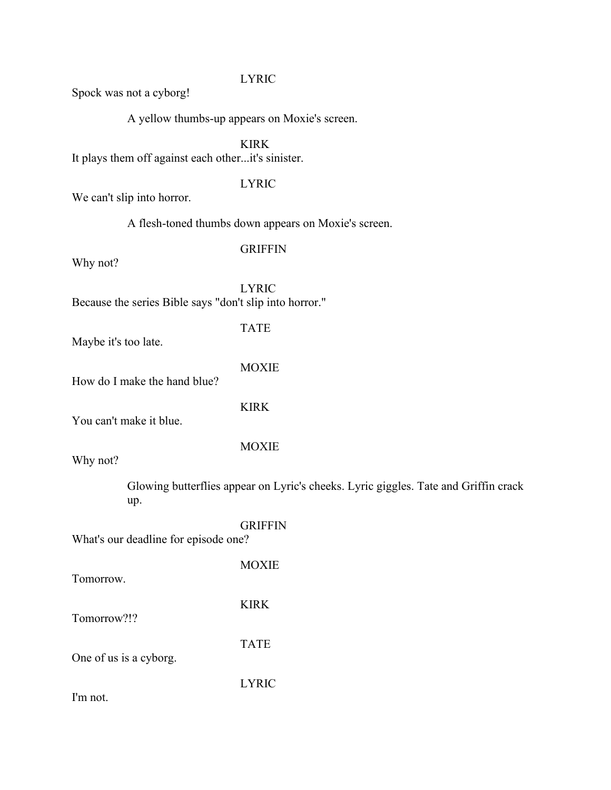#### LYRIC

Spock was not a cyborg!

A yellow thumbs-up appears on Moxie's screen.

KIRK

It plays them off against each other...it's sinister.

#### LYRIC

We can't slip into horror.

A flesh-toned thumbs down appears on Moxie's screen.

#### **GRIFFIN**

Why not?

LYRIC Because the series Bible says "don't slip into horror."

TATE

Maybe it's too late.

|  |  |  |                               | <b>MOXIE</b> |
|--|--|--|-------------------------------|--------------|
|  |  |  | $1$ T $1$ $1$ $1$ $1$ $1$ $1$ |              |

How do I make the hand blue?

KIRK

You can't make it blue.

Why not?

MOXIE

Glowing butterflies appear on Lyric's cheeks. Lyric giggles. Tate and Griffin crack up.

|                                      | <b>GRIFFIN</b> |
|--------------------------------------|----------------|
| What's our deadline for episode one? |                |
|                                      |                |
|                                      | <b>MOXIE</b>   |
| Tomorrow.                            |                |
|                                      | K IR K         |
|                                      |                |

Tomorrow?!?

One of us is a cyborg.

LYRIC

TATE

I'm not.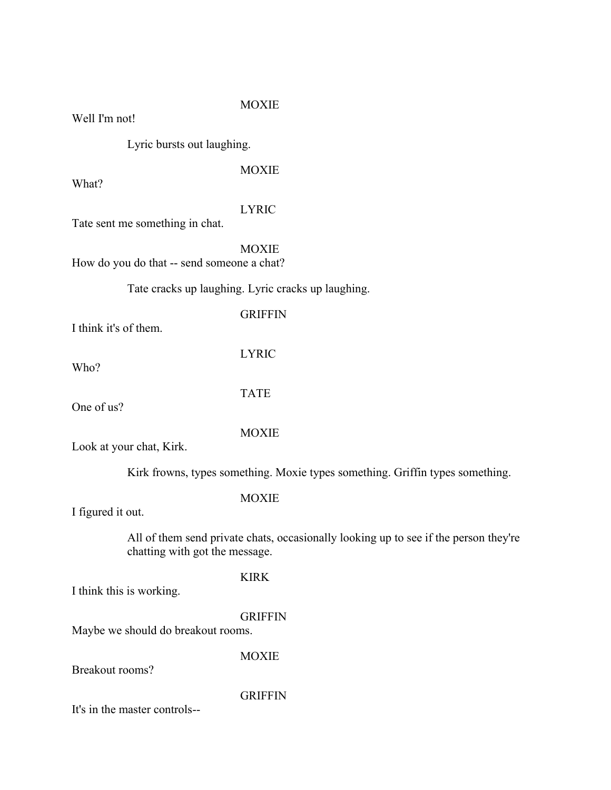#### MOXIE

Well I'm not!

Lyric bursts out laughing.

MOXIE

What?

#### LYRIC

Tate sent me something in chat.

#### MOXIE

How do you do that -- send someone a chat?

#### Tate cracks up laughing. Lyric cracks up laughing.

#### I think it's of them.

Who?

LYRIC

**GRIFFIN** 

One of us?

TATE

MOXIE

Look at your chat, Kirk.

Kirk frowns, types something. Moxie types something. Griffin types something.

#### MOXIE

I figured it out.

All of them send private chats, occasionally looking up to see if the person they're chatting with got the message.

#### KIRK

I think this is working.

#### **GRIFFIN**

Maybe we should do breakout rooms.

MOXIE

Breakout rooms?

#### **GRIFFIN**

It's in the master controls--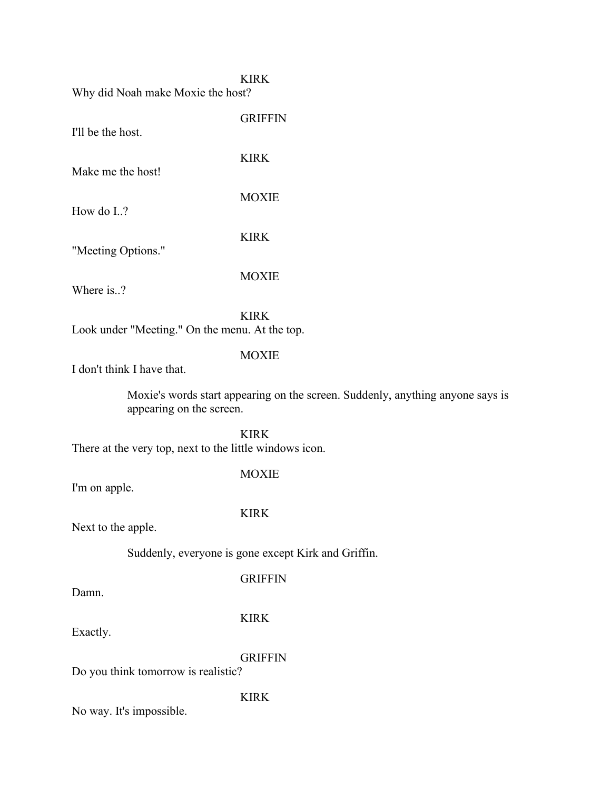#### KIRK

GRIFFIN

KIRK

**MOXIE** 

KIRK

MOXIE

Why did Noah make Moxie the host?

I'll be the host.

Make me the host!

How do I..?

"Meeting Options."

Where is..?

KIRK Look under "Meeting." On the menu. At the top.

#### MOXIE

I don't think I have that.

Moxie's words start appearing on the screen. Suddenly, anything anyone says is appearing on the screen.

KIRK There at the very top, next to the little windows icon.

MOXIE

I'm on apple.

#### KIRK

Next to the apple.

Suddenly, everyone is gone except Kirk and Griffin.

**GRIFFIN** 

Damn.

KIRK

Exactly.

GRIFFIN

Do you think tomorrow is realistic?

KIRK

No way. It's impossible.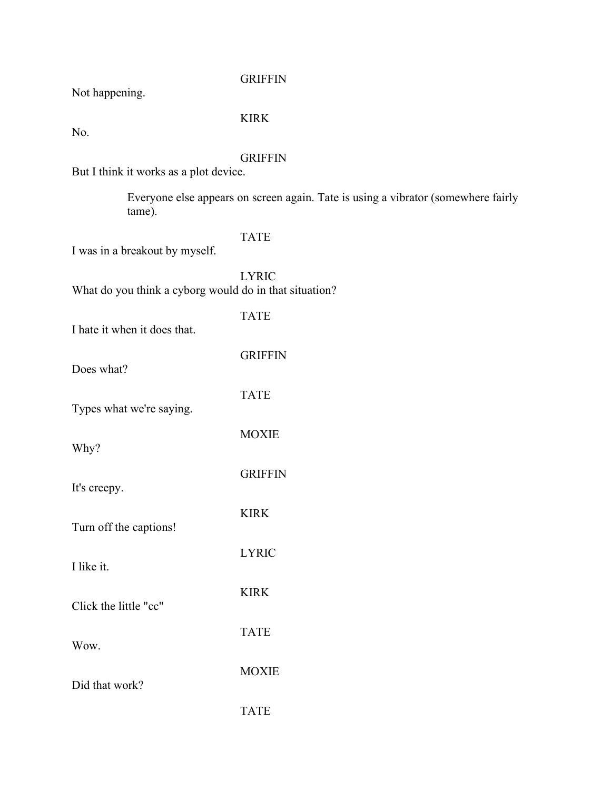#### **GRIFFIN**

Not happening.

#### KIRK

No.

#### GRIFFIN

But I think it works as a plot device.

Everyone else appears on screen again. Tate is using a vibrator (somewhere fairly tame).

#### TATE

TATE

GRIFFIN

TATE

MOXIE

**GRIFFIN** 

KIRK

I was in a breakout by myself.

LYRIC What do you think a cyborg would do in that situation?

I hate it when it does that.

Does what?

Types what we're saying.

Why?

It's creepy.

Turn off the captions!

LYRIC I like it.

KIRK Click the little "cc"

Wow.

Did that work?

TATE

TATE

MOXIE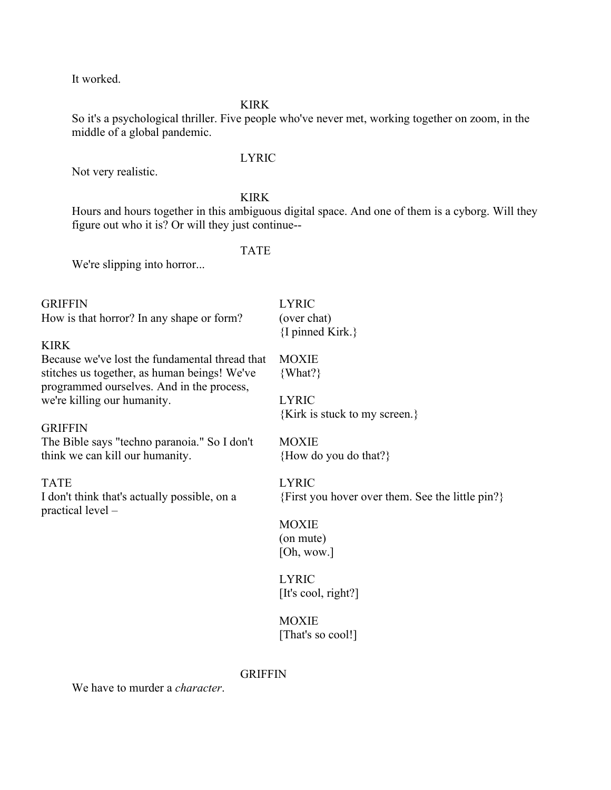It worked.

#### KIRK

So it's a psychological thriller. Five people who've never met, working together on zoom, in the middle of a global pandemic.

#### LYRIC

Not very realistic.

#### KIRK

Hours and hours together in this ambiguous digital space. And one of them is a cyborg. Will they figure out who it is? Or will they just continue--

#### TATE

We're slipping into horror...

| <b>GRIFFIN</b>                                                      | <b>LYRIC</b>                                     |
|---------------------------------------------------------------------|--------------------------------------------------|
| How is that horror? In any shape or form?                           | (over chat)                                      |
|                                                                     | $\{I \text{ pinned Kirk.}\}$                     |
| <b>KIRK</b>                                                         |                                                  |
| Because we've lost the fundamental thread that                      | <b>MOXIE</b>                                     |
| stitches us together, as human beings! We've                        | $\{What?\}$                                      |
| programmed ourselves. And in the process,                           |                                                  |
| we're killing our humanity.                                         | <b>LYRIC</b>                                     |
|                                                                     | {Kirk is stuck to my screen.}                    |
| <b>GRIFFIN</b>                                                      |                                                  |
| The Bible says "techno paranoia." So I don't                        | <b>MOXIE</b>                                     |
| think we can kill our humanity.                                     | {How do you do that?}                            |
|                                                                     |                                                  |
| <b>TATE</b>                                                         | <b>LYRIC</b>                                     |
| I don't think that's actually possible, on a<br>$practical level -$ | {First you hover over them. See the little pin?} |
|                                                                     | <b>MOXIE</b>                                     |
|                                                                     | (on mute)                                        |
|                                                                     | [Oh, wow.]                                       |
|                                                                     |                                                  |
|                                                                     | <b>LYRIC</b>                                     |
|                                                                     | [It's cool, right?]                              |
|                                                                     |                                                  |
|                                                                     | <b>MOXIE</b>                                     |
|                                                                     | [That's so cool!]                                |
|                                                                     |                                                  |

#### GRIFFIN

We have to murder a *character*.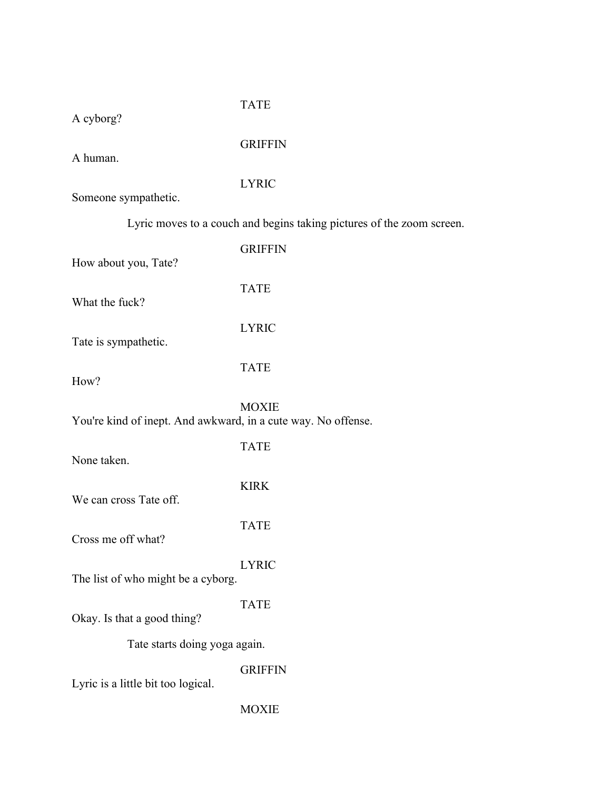#### TATE

A cyborg?

GRIFFIN

A human.

LYRIC

Someone sympathetic.

Lyric moves to a couch and begins taking pictures of the zoom screen.

| How about you, Tate?                                          | <b>GRIFFIN</b> |  |
|---------------------------------------------------------------|----------------|--|
| What the fuck?                                                | <b>TATE</b>    |  |
| Tate is sympathetic.                                          | <b>LYRIC</b>   |  |
| How?                                                          | <b>TATE</b>    |  |
| You're kind of inept. And awkward, in a cute way. No offense. | <b>MOXIE</b>   |  |
| None taken.                                                   | <b>TATE</b>    |  |
| We can cross Tate off.                                        | <b>KIRK</b>    |  |
| Cross me off what?                                            | <b>TATE</b>    |  |
| The list of who might be a cyborg.                            | <b>LYRIC</b>   |  |
| Okay. Is that a good thing?                                   | <b>TATE</b>    |  |
| Tate starts doing yoga again.                                 |                |  |
| Lyric is a little bit too logical.                            | <b>GRIFFIN</b> |  |
|                                                               | <b>MOXIE</b>   |  |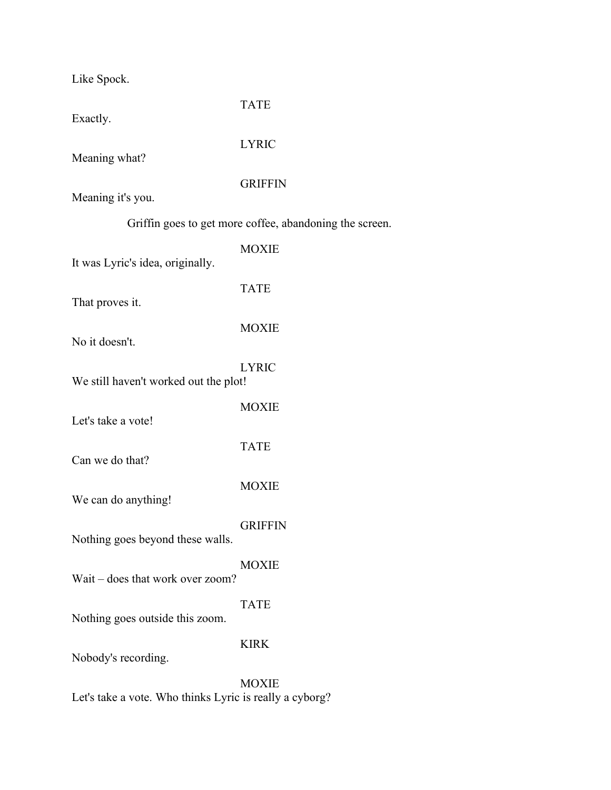Like Spock.

| Exactly.                                                | <b>TATE</b>    |  |  |  |
|---------------------------------------------------------|----------------|--|--|--|
| Meaning what?                                           | <b>LYRIC</b>   |  |  |  |
| Meaning it's you.                                       | <b>GRIFFIN</b> |  |  |  |
| Griffin goes to get more coffee, abandoning the screen. |                |  |  |  |
| It was Lyric's idea, originally.                        | <b>MOXIE</b>   |  |  |  |
| That proves it.                                         | <b>TATE</b>    |  |  |  |
| No it doesn't.                                          | <b>MOXIE</b>   |  |  |  |
| We still haven't worked out the plot!                   | <b>LYRIC</b>   |  |  |  |
| Let's take a vote!                                      | <b>MOXIE</b>   |  |  |  |
| Can we do that?                                         | <b>TATE</b>    |  |  |  |
| We can do anything!                                     | <b>MOXIE</b>   |  |  |  |
| Nothing goes beyond these walls.                        | <b>GRIFFIN</b> |  |  |  |
| Wait – does that work over zoom?                        | <b>MOXIE</b>   |  |  |  |
| Nothing goes outside this zoom.                         | <b>TATE</b>    |  |  |  |
| Nobody's recording.                                     | <b>KIRK</b>    |  |  |  |
|                                                         | <b>MOXIE</b>   |  |  |  |

Let's take a vote. Who thinks Lyric is really a cyborg?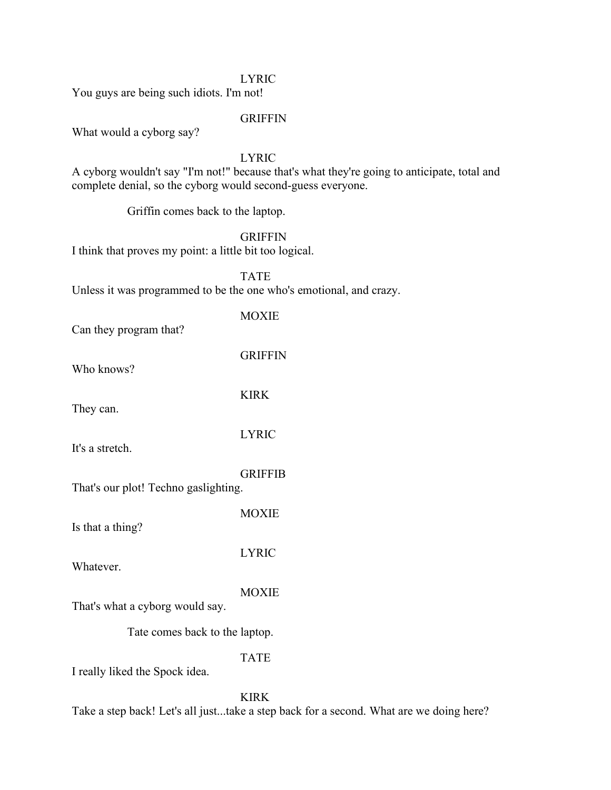#### LYRIC

You guys are being such idiots. I'm not!

#### GRIFFIN

What would a cyborg say?

#### LYRIC

A cyborg wouldn't say "I'm not!" because that's what they're going to anticipate, total and complete denial, so the cyborg would second-guess everyone.

Griffin comes back to the laptop.

#### **GRIFFIN**

I think that proves my point: a little bit too logical.

TATE

MOXIE

Unless it was programmed to be the one who's emotional, and crazy.

Can they program that?

GRIFFIN

KIRK

Who knows?

They can.

LYRIC

It's a stretch.

GRIFFIB

That's our plot! Techno gaslighting.

MOXIE

LYRIC

Is that a thing?

Whatever.

**MOXIE** 

That's what a cyborg would say.

Tate comes back to the laptop.

TATE

I really liked the Spock idea.

KIRK

Take a step back! Let's all just...take a step back for a second. What are we doing here?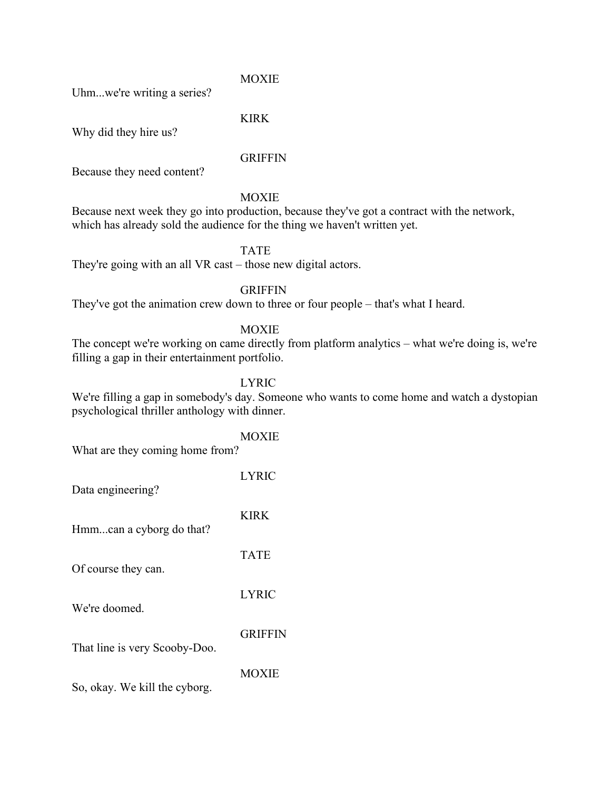MOXIE

Uhm...we're writing a series?

KIRK

Why did they hire us?

#### GRIFFIN

Because they need content?

#### **MOXIE**

Because next week they go into production, because they've got a contract with the network, which has already sold the audience for the thing we haven't written yet.

#### TATE

They're going with an all VR cast – those new digital actors.

#### GRIFFIN

They've got the animation crew down to three or four people – that's what I heard.

#### MOXIE

The concept we're working on came directly from platform analytics – what we're doing is, we're filling a gap in their entertainment portfolio.

#### LYRIC

MOXIE

We're filling a gap in somebody's day. Someone who wants to come home and watch a dystopian psychological thriller anthology with dinner.

| What are they coming home from? |                |  |
|---------------------------------|----------------|--|
| Data engineering?               | <b>LYRIC</b>   |  |
| Hmmcan a cyborg do that?        | <b>KIRK</b>    |  |
| Of course they can.             | <b>TATE</b>    |  |
| We're doomed.                   | <b>LYRIC</b>   |  |
| That line is very Scooby-Doo.   | <b>GRIFFIN</b> |  |
| So, okay. We kill the cyborg.   | <b>MOXIE</b>   |  |
|                                 |                |  |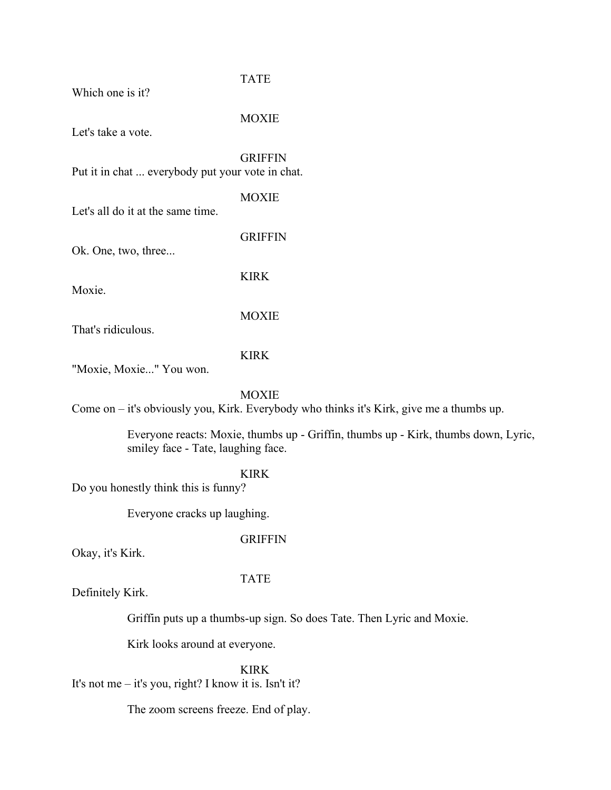| Which one is it? |  |
|------------------|--|
|                  |  |

# TATE

Let's take a vote.

MOXIE

GRIFFIN Put it in chat ... everybody put your vote in chat.

**MOXIE** 

Let's all do it at the same time.

**GRIFFIN** 

Ok. One, two, three...

Moxie.

KIRK

That's ridiculous.

#### KIRK

MOXIE

"Moxie, Moxie..." You won.

#### **MOXIE**

Come on – it's obviously you, Kirk. Everybody who thinks it's Kirk, give me a thumbs up.

Everyone reacts: Moxie, thumbs up - Griffin, thumbs up - Kirk, thumbs down, Lyric, smiley face - Tate, laughing face.

KIRK

Do you honestly think this is funny?

Everyone cracks up laughing.

#### GRIFFIN

Okay, it's Kirk.

#### TATE

Definitely Kirk.

Griffin puts up a thumbs-up sign. So does Tate. Then Lyric and Moxie.

Kirk looks around at everyone.

KIRK It's not me – it's you, right? I know it is. Isn't it?

The zoom screens freeze. End of play.